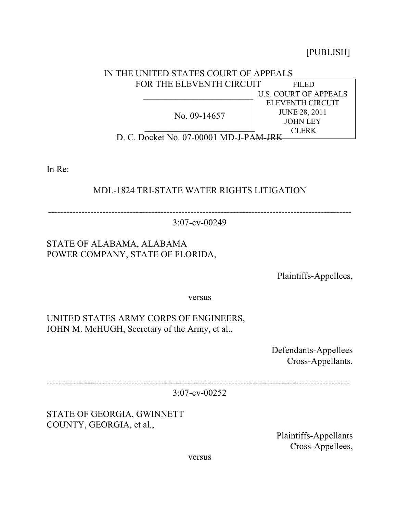[PUBLISH]

#### FILED U.S. COURT OF APPEALS ELEVENTH CIRCUIT JUNE 28, 2011 JOHN LEY **CLERK** IN THE UNITED STATES COURT OF APPEALS FOR THE ELEVENTH CIRCUIT  $\frac{1}{2}$  ,  $\frac{1}{2}$  ,  $\frac{1}{2}$  ,  $\frac{1}{2}$  ,  $\frac{1}{2}$  ,  $\frac{1}{2}$  ,  $\frac{1}{2}$  ,  $\frac{1}{2}$  ,  $\frac{1}{2}$  ,  $\frac{1}{2}$  ,  $\frac{1}{2}$  ,  $\frac{1}{2}$  ,  $\frac{1}{2}$  ,  $\frac{1}{2}$  ,  $\frac{1}{2}$  ,  $\frac{1}{2}$  ,  $\frac{1}{2}$  ,  $\frac{1}{2}$  ,  $\frac{1$ No. 09-14657  $\mathcal{L}_\text{max}$  , where  $\mathcal{L}_\text{max}$  , we have the set of the set of the set of the set of the set of the set of the set of the set of the set of the set of the set of the set of the set of the set of the set of the set of D. C. Docket No. 07-00001 MD-J-PAM-JRK

In Re:

# MDL-1824 TRI-STATE WATER RIGHTS LITIGATION

----------------------------------------------------------------------------------------------------

3:07-cv-00249

# STATE OF ALABAMA, ALABAMA POWER COMPANY, STATE OF FLORIDA,

Plaintiffs-Appellees,

versus

UNITED STATES ARMY CORPS OF ENGINEERS, JOHN M. McHUGH, Secretary of the Army, et al.,

> Defendants-Appellees Cross-Appellants.

----------------------------------------------------------------------------------------------------

3:07-cv-00252

STATE OF GEORGIA, GWINNETT COUNTY, GEORGIA, et al.,

> Plaintiffs-Appellants Cross-Appellees,

versus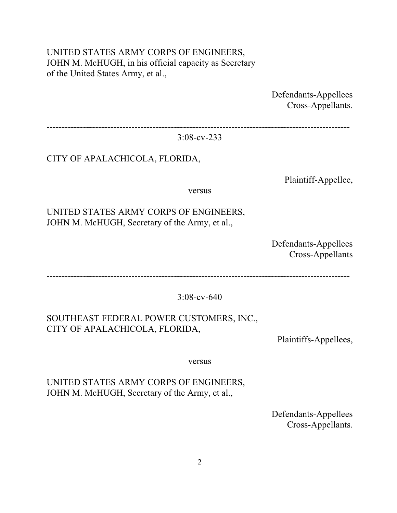## UNITED STATES ARMY CORPS OF ENGINEERS, JOHN M. McHUGH, in his official capacity as Secretary of the United States Army, et al.,

Defendants-Appellees Cross-Appellants.

----------------------------------------------------------------------------------------------------

3:08-cv-233

### CITY OF APALACHICOLA, FLORIDA,

Plaintiff-Appellee,

versus

### UNITED STATES ARMY CORPS OF ENGINEERS, JOHN M. McHUGH, Secretary of the Army, et al.,

Defendants-Appellees Cross-Appellants

----------------------------------------------------------------------------------------------------

3:08-cv-640

# SOUTHEAST FEDERAL POWER CUSTOMERS, INC., CITY OF APALACHICOLA, FLORIDA,

Plaintiffs-Appellees,

versus

UNITED STATES ARMY CORPS OF ENGINEERS, JOHN M. McHUGH, Secretary of the Army, et al.,

> Defendants-Appellees Cross-Appellants.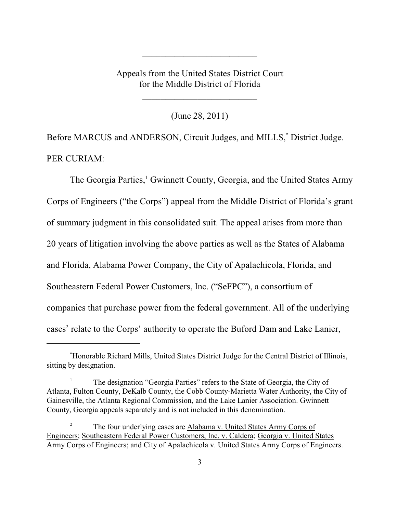Appeals from the United States District Court for the Middle District of Florida

 $\overline{\phantom{a}}$  , which is a set of the set of the set of the set of the set of the set of the set of the set of the set of the set of the set of the set of the set of the set of the set of the set of the set of the set of th

(June 28, 2011)

\_\_\_\_\_\_\_\_\_\_\_\_\_\_\_\_\_\_\_\_\_\_\_\_\_

Before MARCUS and ANDERSON, Circuit Judges, and MILLS,<sup>\*</sup> District Judge. PER CURIAM:

The Georgia Parties,<sup>1</sup> Gwinnett County, Georgia, and the United States Army Corps of Engineers ("the Corps") appeal from the Middle District of Florida's grant of summary judgment in this consolidated suit. The appeal arises from more than 20 years of litigation involving the above parties as well as the States of Alabama and Florida, Alabama Power Company, the City of Apalachicola, Florida, and Southeastern Federal Power Customers, Inc. ("SeFPC"), a consortium of companies that purchase power from the federal government. All of the underlying cases<sup>2</sup> relate to the Corps' authority to operate the Buford Dam and Lake Lanier,

Honorable Richard Mills, United States District Judge for the Central District of Illinois, \* sitting by designation.

The designation "Georgia Parties" refers to the State of Georgia, the City of <sup>1</sup> Atlanta, Fulton County, DeKalb County, the Cobb County-Marietta Water Authority, the City of Gainesville, the Atlanta Regional Commission, and the Lake Lanier Association. Gwinnett County, Georgia appeals separately and is not included in this denomination.

<sup>&</sup>lt;sup>2</sup> The four underlying cases are Alabama v. United States Army Corps of Engineers; Southeastern Federal Power Customers, Inc. v. Caldera; Georgia v. United States Army Corps of Engineers; and City of Apalachicola v. United States Army Corps of Engineers.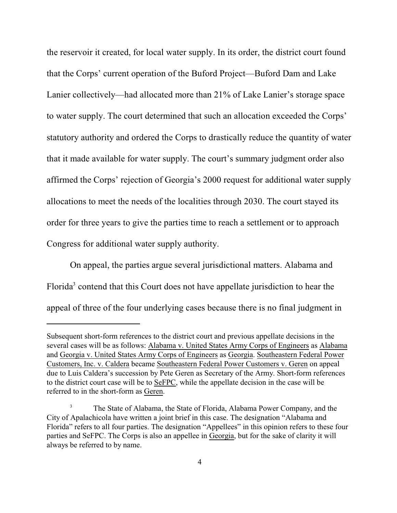the reservoir it created, for local water supply. In its order, the district court found that the Corps' current operation of the Buford Project—Buford Dam and Lake Lanier collectively—had allocated more than 21% of Lake Lanier's storage space to water supply. The court determined that such an allocation exceeded the Corps' statutory authority and ordered the Corps to drastically reduce the quantity of water that it made available for water supply. The court's summary judgment order also affirmed the Corps' rejection of Georgia's 2000 request for additional water supply allocations to meet the needs of the localities through 2030. The court stayed its order for three years to give the parties time to reach a settlement or to approach Congress for additional water supply authority.

On appeal, the parties argue several jurisdictional matters. Alabama and Florida<sup>3</sup> contend that this Court does not have appellate jurisdiction to hear the appeal of three of the four underlying cases because there is no final judgment in

Subsequent short-form references to the district court and previous appellate decisions in the several cases will be as follows: Alabama v. United States Army Corps of Engineers as Alabama and Georgia v. United States Army Corps of Engineers as Georgia. Southeastern Federal Power Customers, Inc. v. Caldera became Southeastern Federal Power Customers v. Geren on appeal due to Luis Caldera's succession by Pete Geren as Secretary of the Army. Short-form references to the district court case will be to SeFPC, while the appellate decision in the case will be referred to in the short-form as Geren.

The State of Alabama, the State of Florida, Alabama Power Company, and the <sup>3</sup> City of Apalachicola have written a joint brief in this case. The designation "Alabama and Florida" refers to all four parties. The designation "Appellees" in this opinion refers to these four parties and SeFPC. The Corps is also an appellee in Georgia, but for the sake of clarity it will always be referred to by name.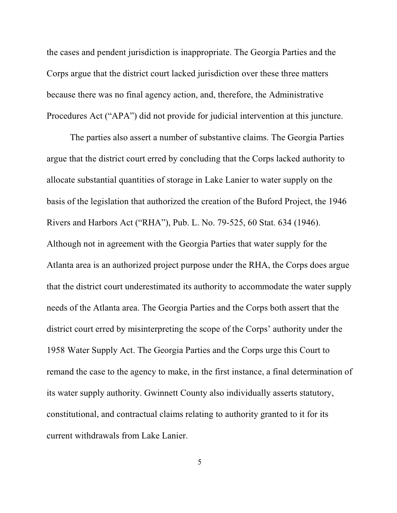the cases and pendent jurisdiction is inappropriate. The Georgia Parties and the Corps argue that the district court lacked jurisdiction over these three matters because there was no final agency action, and, therefore, the Administrative Procedures Act ("APA") did not provide for judicial intervention at this juncture.

The parties also assert a number of substantive claims. The Georgia Parties argue that the district court erred by concluding that the Corps lacked authority to allocate substantial quantities of storage in Lake Lanier to water supply on the basis of the legislation that authorized the creation of the Buford Project, the 1946 Rivers and Harbors Act ("RHA"), Pub. L. No. 79-525, 60 Stat. 634 (1946). Although not in agreement with the Georgia Parties that water supply for the Atlanta area is an authorized project purpose under the RHA, the Corps does argue that the district court underestimated its authority to accommodate the water supply needs of the Atlanta area. The Georgia Parties and the Corps both assert that the district court erred by misinterpreting the scope of the Corps' authority under the 1958 Water Supply Act. The Georgia Parties and the Corps urge this Court to remand the case to the agency to make, in the first instance, a final determination of its water supply authority. Gwinnett County also individually asserts statutory, constitutional, and contractual claims relating to authority granted to it for its current withdrawals from Lake Lanier.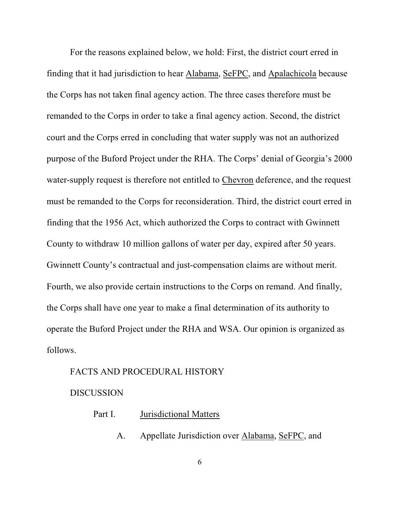For the reasons explained below, we hold: First, the district court erred in finding that it had jurisdiction to hear Alabama, SeFPC, and Apalachicola because the Corps has not taken final agency action. The three cases therefore must be remanded to the Corps in order to take a final agency action. Second, the district court and the Corps erred in concluding that water supply was not an authorized purpose of the Buford Project under the RHA. The Corps' denial of Georgia's 2000 water-supply request is therefore not entitled to Chevron deference, and the request must be remanded to the Corps for reconsideration. Third, the district court erred in finding that the 1956 Act, which authorized the Corps to contract with Gwinnett County to withdraw 10 million gallons of water per day, expired after 50 years. Gwinnett County's contractual and just-compensation claims are without merit. Fourth, we also provide certain instructions to the Corps on remand. And finally, the Corps shall have one year to make a final determination of its authority to operate the Buford Project under the RHA and WSA. Our opinion is organized as follows.

#### FACTS AND PROCEDURAL HISTORY

#### **DISCUSSION**

| Part I. | Jurisdictional Matters |  |
|---------|------------------------|--|
|         |                        |  |

A. Appellate Jurisdiction over Alabama, SeFPC, and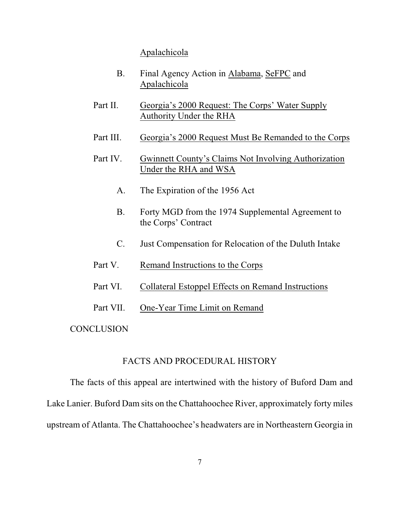### Apalachicola

- B. Final Agency Action in Alabama, SeFPC and Apalachicola
- Part II. Georgia's 2000 Request: The Corps' Water Supply Authority Under the RHA
- Part III. Georgia's 2000 Request Must Be Remanded to the Corps
- Part IV. Gwinnett County's Claims Not Involving Authorization Under the RHA and WSA
	- A. The Expiration of the 1956 Act
	- B. Forty MGD from the 1974 Supplemental Agreement to the Corps' Contract
	- C. Just Compensation for Relocation of the Duluth Intake
- Part V. Remand Instructions to the Corps
- Part VI. Collateral Estoppel Effects on Remand Instructions
- Part VII. One-Year Time Limit on Remand

**CONCLUSION** 

### FACTS AND PROCEDURAL HISTORY

The facts of this appeal are intertwined with the history of Buford Dam and Lake Lanier. Buford Dam sits on the Chattahoochee River, approximately forty miles upstream of Atlanta. The Chattahoochee's headwaters are in Northeastern Georgia in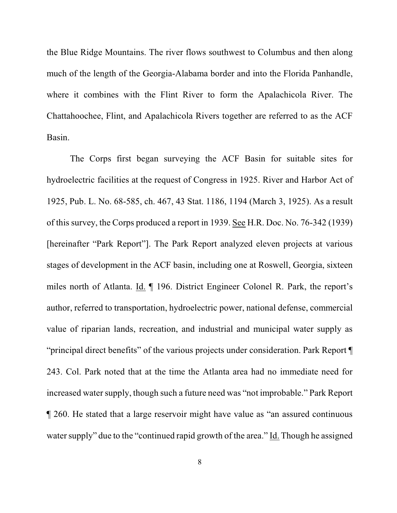the Blue Ridge Mountains. The river flows southwest to Columbus and then along much of the length of the Georgia-Alabama border and into the Florida Panhandle, where it combines with the Flint River to form the Apalachicola River. The Chattahoochee, Flint, and Apalachicola Rivers together are referred to as the ACF Basin.

The Corps first began surveying the ACF Basin for suitable sites for hydroelectric facilities at the request of Congress in 1925. River and Harbor Act of 1925, Pub. L. No. 68-585, ch. 467, 43 Stat. 1186, 1194 (March 3, 1925). As a result of this survey, the Corps produced a report in 1939. See H.R. Doc. No. 76-342 (1939) [hereinafter "Park Report"]. The Park Report analyzed eleven projects at various stages of development in the ACF basin, including one at Roswell, Georgia, sixteen miles north of Atlanta. Id. ¶ 196. District Engineer Colonel R. Park, the report's author, referred to transportation, hydroelectric power, national defense, commercial value of riparian lands, recreation, and industrial and municipal water supply as "principal direct benefits" of the various projects under consideration. Park Report ¶ 243. Col. Park noted that at the time the Atlanta area had no immediate need for increased water supply, though such a future need was "not improbable." Park Report ¶ 260. He stated that a large reservoir might have value as "an assured continuous water supply" due to the "continued rapid growth of the area." Id. Though he assigned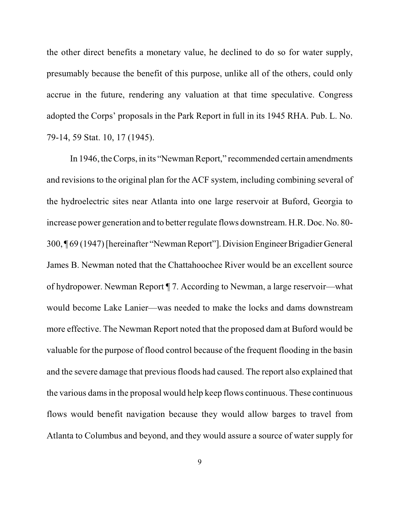the other direct benefits a monetary value, he declined to do so for water supply, presumably because the benefit of this purpose, unlike all of the others, could only accrue in the future, rendering any valuation at that time speculative. Congress adopted the Corps' proposals in the Park Report in full in its 1945 RHA. Pub. L. No. 79-14, 59 Stat. 10, 17 (1945).

In 1946, the Corps, in its "Newman Report," recommended certain amendments and revisions to the original plan for the ACF system, including combining several of the hydroelectric sites near Atlanta into one large reservoir at Buford, Georgia to increase power generation and to better regulate flows downstream. H.R. Doc. No. 80- 300, ¶ 69 (1947)[hereinafter "NewmanReport"].Division EngineerBrigadier General James B. Newman noted that the Chattahoochee River would be an excellent source of hydropower. Newman Report ¶ 7. According to Newman, a large reservoir—what would become Lake Lanier—was needed to make the locks and dams downstream more effective. The Newman Report noted that the proposed dam at Buford would be valuable for the purpose of flood control because of the frequent flooding in the basin and the severe damage that previous floods had caused. The report also explained that the various dams in the proposal would help keep flows continuous. These continuous flows would benefit navigation because they would allow barges to travel from Atlanta to Columbus and beyond, and they would assure a source of water supply for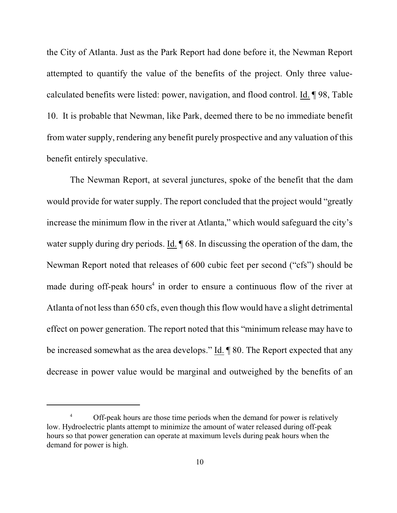the City of Atlanta. Just as the Park Report had done before it, the Newman Report attempted to quantify the value of the benefits of the project. Only three valuecalculated benefits were listed: power, navigation, and flood control. Id. ¶ 98, Table 10. It is probable that Newman, like Park, deemed there to be no immediate benefit from water supply, rendering any benefit purely prospective and any valuation of this benefit entirely speculative.

The Newman Report, at several junctures, spoke of the benefit that the dam would provide for water supply. The report concluded that the project would "greatly increase the minimum flow in the river at Atlanta," which would safeguard the city's water supply during dry periods. Id.  $\sqrt{68}$ . In discussing the operation of the dam, the Newman Report noted that releases of 600 cubic feet per second ("cfs") should be made during off-peak hours<sup>4</sup> in order to ensure a continuous flow of the river at Atlanta of not less than 650 cfs, even though this flow would have a slight detrimental effect on power generation. The report noted that this "minimum release may have to be increased somewhat as the area develops." Id. ¶ 80. The Report expected that any decrease in power value would be marginal and outweighed by the benefits of an

<sup>&</sup>lt;sup>4</sup> Off-peak hours are those time periods when the demand for power is relatively low. Hydroelectric plants attempt to minimize the amount of water released during off-peak hours so that power generation can operate at maximum levels during peak hours when the demand for power is high.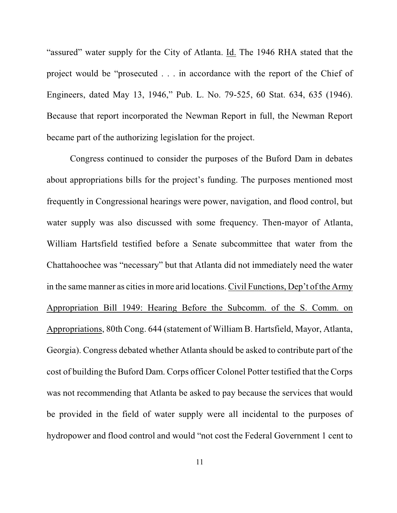"assured" water supply for the City of Atlanta. Id. The 1946 RHA stated that the project would be "prosecuted . . . in accordance with the report of the Chief of Engineers, dated May 13, 1946," Pub. L. No. 79-525, 60 Stat. 634, 635 (1946). Because that report incorporated the Newman Report in full, the Newman Report became part of the authorizing legislation for the project.

Congress continued to consider the purposes of the Buford Dam in debates about appropriations bills for the project's funding. The purposes mentioned most frequently in Congressional hearings were power, navigation, and flood control, but water supply was also discussed with some frequency. Then-mayor of Atlanta, William Hartsfield testified before a Senate subcommittee that water from the Chattahoochee was "necessary" but that Atlanta did not immediately need the water in the same manner as cities in more arid locations. Civil Functions, Dep't of the Army Appropriation Bill 1949: Hearing Before the Subcomm. of the S. Comm. on Appropriations, 80th Cong. 644 (statement of William B. Hartsfield, Mayor, Atlanta, Georgia). Congress debated whether Atlanta should be asked to contribute part of the cost of building the Buford Dam. Corps officer Colonel Potter testified that the Corps was not recommending that Atlanta be asked to pay because the services that would be provided in the field of water supply were all incidental to the purposes of hydropower and flood control and would "not cost the Federal Government 1 cent to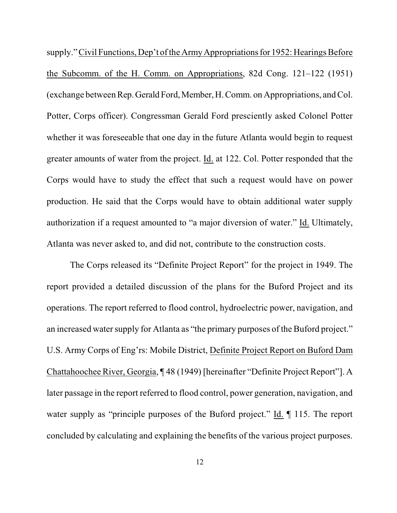supply." Civil Functions, Dep't of the Army Appropriations for 1952: Hearings Before the Subcomm. of the H. Comm. on Appropriations, 82d Cong. 121–122 (1951) (exchange between Rep.Gerald Ford,Member,H. Comm. on Appropriations, and Col. Potter, Corps officer). Congressman Gerald Ford presciently asked Colonel Potter whether it was foreseeable that one day in the future Atlanta would begin to request greater amounts of water from the project. Id. at 122. Col. Potter responded that the Corps would have to study the effect that such a request would have on power production. He said that the Corps would have to obtain additional water supply authorization if a request amounted to "a major diversion of water." Id. Ultimately, Atlanta was never asked to, and did not, contribute to the construction costs.

The Corps released its "Definite Project Report" for the project in 1949. The report provided a detailed discussion of the plans for the Buford Project and its operations. The report referred to flood control, hydroelectric power, navigation, and an increased water supply for Atlanta as "the primary purposes of the Buford project." U.S. Army Corps of Eng'rs: Mobile District, Definite Project Report on Buford Dam Chattahoochee River, Georgia, ¶ 48 (1949) [hereinafter "Definite Project Report"]. A later passage in the report referred to flood control, power generation, navigation, and water supply as "principle purposes of the Buford project." Id.  $\P$  115. The report concluded by calculating and explaining the benefits of the various project purposes.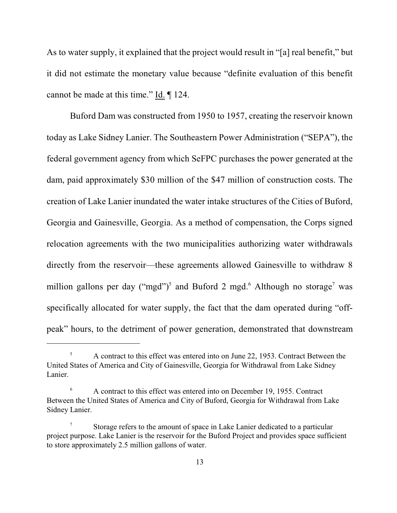As to water supply, it explained that the project would result in "[a] real benefit," but it did not estimate the monetary value because "definite evaluation of this benefit cannot be made at this time." Id. ¶ 124.

Buford Dam was constructed from 1950 to 1957, creating the reservoir known today as Lake Sidney Lanier. The Southeastern Power Administration ("SEPA"), the federal government agency from which SeFPC purchases the power generated at the dam, paid approximately \$30 million of the \$47 million of construction costs. The creation of Lake Lanier inundated the water intake structures of the Cities of Buford, Georgia and Gainesville, Georgia. As a method of compensation, the Corps signed relocation agreements with the two municipalities authorizing water withdrawals directly from the reservoir—these agreements allowed Gainesville to withdraw 8 million gallons per day ("mgd")<sup>5</sup> and Buford 2 mgd.<sup>6</sup> Although no storage<sup>7</sup> was specifically allocated for water supply, the fact that the dam operated during "offpeak" hours, to the detriment of power generation, demonstrated that downstream

<sup>&</sup>lt;sup>5</sup> A contract to this effect was entered into on June 22, 1953. Contract Between the United States of America and City of Gainesville, Georgia for Withdrawal from Lake Sidney Lanier.

A contract to this effect was entered into on December 19, 1955. Contract 6 Between the United States of America and City of Buford, Georgia for Withdrawal from Lake Sidney Lanier.

Storage refers to the amount of space in Lake Lanier dedicated to a particular <sup>7</sup> project purpose. Lake Lanier is the reservoir for the Buford Project and provides space sufficient to store approximately 2.5 million gallons of water.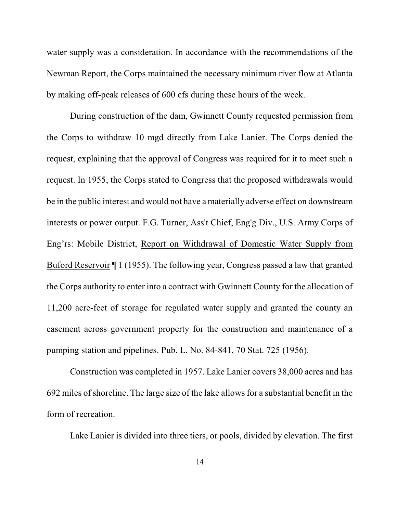water supply was a consideration. In accordance with the recommendations of the Newman Report, the Corps maintained the necessary minimum river flow at Atlanta by making off-peak releases of 600 cfs during these hours of the week.

During construction of the dam, Gwinnett County requested permission from the Corps to withdraw 10 mgd directly from Lake Lanier. The Corps denied the request, explaining that the approval of Congress was required for it to meet such a request. In 1955, the Corps stated to Congress that the proposed withdrawals would be in the public interest and would not have a materially adverse effect on downstream interests or power output. F.G. Turner, Ass't Chief, Eng'g Div., U.S. Army Corps of Eng'rs: Mobile District, Report on Withdrawal of Domestic Water Supply from Buford Reservoir ¶ 1 (1955). The following year, Congress passed a law that granted the Corps authority to enter into a contract with Gwinnett County for the allocation of 11,200 acre-feet of storage for regulated water supply and granted the county an easement across government property for the construction and maintenance of a pumping station and pipelines. Pub. L. No. 84-841, 70 Stat. 725 (1956).

Construction was completed in 1957. Lake Lanier covers 38,000 acres and has 692 miles ofshoreline. The large size of the lake allows for a substantial benefit in the form of recreation.

Lake Lanier is divided into three tiers, or pools, divided by elevation. The first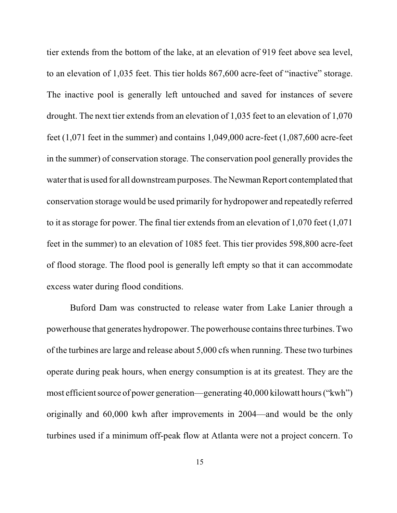tier extends from the bottom of the lake, at an elevation of 919 feet above sea level, to an elevation of 1,035 feet. This tier holds 867,600 acre-feet of "inactive" storage. The inactive pool is generally left untouched and saved for instances of severe drought. The next tier extends from an elevation of 1,035 feet to an elevation of 1,070 feet (1,071 feet in the summer) and contains 1,049,000 acre-feet (1,087,600 acre-feet in the summer) of conservation storage. The conservation pool generally provides the water that is used for all downstream purposes. The Newman Report contemplated that conservation storage would be used primarily for hydropower and repeatedly referred to it as storage for power. The final tier extends from an elevation of 1,070 feet (1,071 feet in the summer) to an elevation of 1085 feet. This tier provides 598,800 acre-feet of flood storage. The flood pool is generally left empty so that it can accommodate excess water during flood conditions.

Buford Dam was constructed to release water from Lake Lanier through a powerhouse that generates hydropower. The powerhouse containsthree turbines. Two of the turbines are large and release about 5,000 cfs when running. These two turbines operate during peak hours, when energy consumption is at its greatest. They are the most efficient source of power generation—generating 40,000 kilowatt hours ("kwh") originally and 60,000 kwh after improvements in 2004—and would be the only turbines used if a minimum off-peak flow at Atlanta were not a project concern. To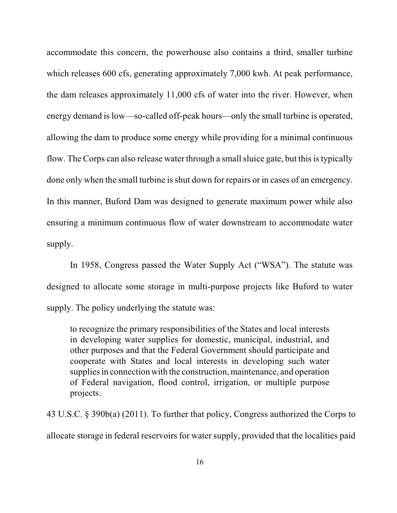accommodate this concern, the powerhouse also contains a third, smaller turbine which releases 600 cfs, generating approximately 7,000 kwh. At peak performance, the dam releases approximately 11,000 cfs of water into the river. However, when energy demand is low—so-called off-peak hours—only the small turbine is operated, allowing the dam to produce some energy while providing for a minimal continuous flow. The Corps can also release water through a small sluice gate, but this is typically done only when the small turbine is shut down for repairs or in cases of an emergency. In this manner, Buford Dam was designed to generate maximum power while also ensuring a minimum continuous flow of water downstream to accommodate water supply.

In 1958, Congress passed the Water Supply Act ("WSA"). The statute was designed to allocate some storage in multi-purpose projects like Buford to water supply. The policy underlying the statute was:

to recognize the primary responsibilities of the States and local interests in developing water supplies for domestic, municipal, industrial, and other purposes and that the Federal Government should participate and cooperate with States and local interests in developing such water supplies in connection with the construction, maintenance, and operation of Federal navigation, flood control, irrigation, or multiple purpose projects.

43 U.S.C. § 390b(a) (2011). To further that policy, Congress authorized the Corps to allocate storage in federal reservoirs for water supply, provided that the localities paid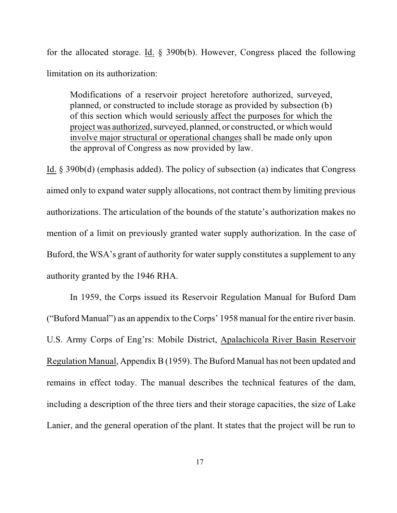for the allocated storage. Id. § 390b(b). However, Congress placed the following limitation on its authorization:

Modifications of a reservoir project heretofore authorized, surveyed, planned, or constructed to include storage as provided by subsection (b) of this section which would seriously affect the purposes for which the project was authorized, surveyed, planned, or constructed, or which would involve major structural or operational changes shall be made only upon the approval of Congress as now provided by law.

Id. § 390b(d) (emphasis added). The policy of subsection (a) indicates that Congress aimed only to expand water supply allocations, not contract them by limiting previous authorizations. The articulation of the bounds of the statute's authorization makes no mention of a limit on previously granted water supply authorization. In the case of Buford, the WSA's grant of authority for water supply constitutes a supplement to any authority granted by the 1946 RHA.

In 1959, the Corps issued its Reservoir Regulation Manual for Buford Dam ("Buford Manual") as an appendix to the Corps' 1958 manual for the entire river basin. U.S. Army Corps of Eng'rs: Mobile District, Apalachicola River Basin Reservoir Regulation Manual, Appendix B (1959). The Buford Manual has not been updated and remains in effect today. The manual describes the technical features of the dam, including a description of the three tiers and their storage capacities, the size of Lake Lanier, and the general operation of the plant. It states that the project will be run to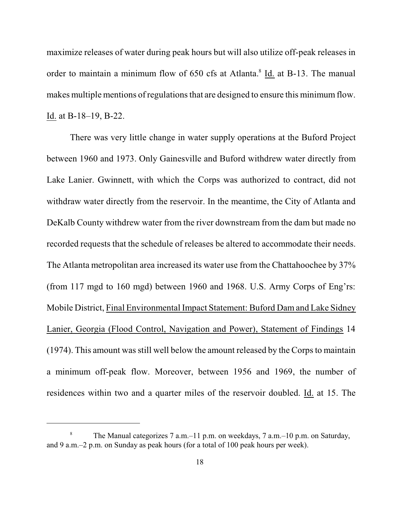maximize releases of water during peak hours but will also utilize off-peak releases in order to maintain a minimum flow of 650 cfs at Atlanta.<sup>8</sup> Id. at B-13. The manual makes multiple mentions of regulations that are designed to ensure this minimum flow. Id. at B-18–19, B-22.

There was very little change in water supply operations at the Buford Project between 1960 and 1973. Only Gainesville and Buford withdrew water directly from Lake Lanier. Gwinnett, with which the Corps was authorized to contract, did not withdraw water directly from the reservoir. In the meantime, the City of Atlanta and DeKalb County withdrew water from the river downstream from the dam but made no recorded requests that the schedule of releases be altered to accommodate their needs. The Atlanta metropolitan area increased its water use from the Chattahoochee by 37% (from 117 mgd to 160 mgd) between 1960 and 1968. U.S. Army Corps of Eng'rs: Mobile District, Final Environmental Impact Statement: Buford Dam and Lake Sidney Lanier, Georgia (Flood Control, Navigation and Power), Statement of Findings 14 (1974). This amount was still well below the amount released by the Corps to maintain a minimum off-peak flow. Moreover, between 1956 and 1969, the number of residences within two and a quarter miles of the reservoir doubled. Id. at 15. The

The Manual categorizes 7 a.m.–11 p.m. on weekdays, 7 a.m.–10 p.m. on Saturday, 8 and 9 a.m.–2 p.m. on Sunday as peak hours (for a total of 100 peak hours per week).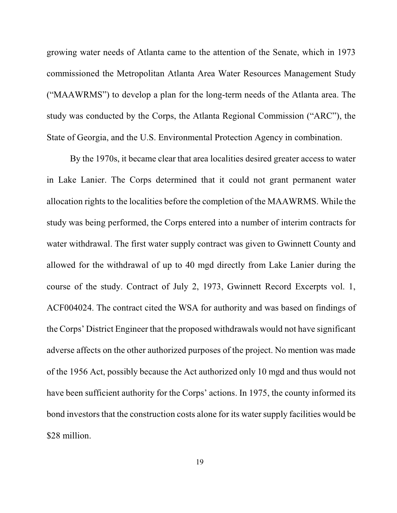growing water needs of Atlanta came to the attention of the Senate, which in 1973 commissioned the Metropolitan Atlanta Area Water Resources Management Study ("MAAWRMS") to develop a plan for the long-term needs of the Atlanta area. The study was conducted by the Corps, the Atlanta Regional Commission ("ARC"), the State of Georgia, and the U.S. Environmental Protection Agency in combination.

By the 1970s, it became clear that area localities desired greater access to water in Lake Lanier. The Corps determined that it could not grant permanent water allocation rights to the localities before the completion of the MAAWRMS. While the study was being performed, the Corps entered into a number of interim contracts for water withdrawal. The first water supply contract was given to Gwinnett County and allowed for the withdrawal of up to 40 mgd directly from Lake Lanier during the course of the study. Contract of July 2, 1973, Gwinnett Record Excerpts vol. 1, ACF004024. The contract cited the WSA for authority and was based on findings of the Corps' District Engineer that the proposed withdrawals would not have significant adverse affects on the other authorized purposes of the project. No mention was made of the 1956 Act, possibly because the Act authorized only 10 mgd and thus would not have been sufficient authority for the Corps' actions. In 1975, the county informed its bond investors that the construction costs alone for its water supply facilities would be \$28 million.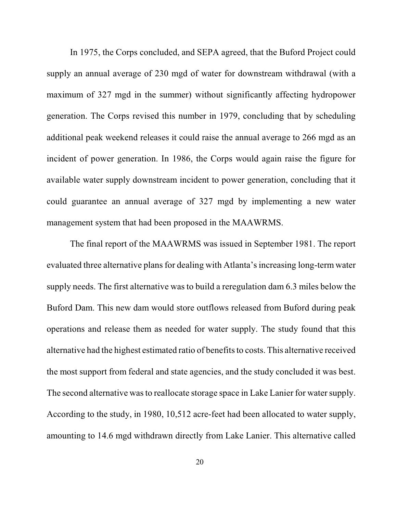In 1975, the Corps concluded, and SEPA agreed, that the Buford Project could supply an annual average of 230 mgd of water for downstream withdrawal (with a maximum of 327 mgd in the summer) without significantly affecting hydropower generation. The Corps revised this number in 1979, concluding that by scheduling additional peak weekend releases it could raise the annual average to 266 mgd as an incident of power generation. In 1986, the Corps would again raise the figure for available water supply downstream incident to power generation, concluding that it could guarantee an annual average of 327 mgd by implementing a new water management system that had been proposed in the MAAWRMS.

The final report of the MAAWRMS was issued in September 1981. The report evaluated three alternative plans for dealing with Atlanta's increasing long-term water supply needs. The first alternative was to build a reregulation dam 6.3 miles below the Buford Dam. This new dam would store outflows released from Buford during peak operations and release them as needed for water supply. The study found that this alternative had the highest estimated ratio of benefits to costs. This alternative received the most support from federal and state agencies, and the study concluded it was best. The second alternative was to reallocate storage space in Lake Lanier for water supply. According to the study, in 1980, 10,512 acre-feet had been allocated to water supply, amounting to 14.6 mgd withdrawn directly from Lake Lanier. This alternative called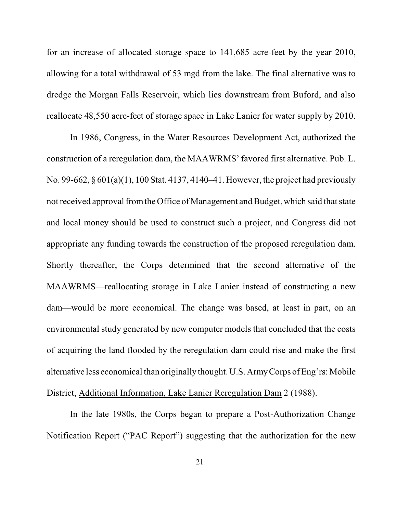for an increase of allocated storage space to 141,685 acre-feet by the year 2010, allowing for a total withdrawal of 53 mgd from the lake. The final alternative was to dredge the Morgan Falls Reservoir, which lies downstream from Buford, and also reallocate 48,550 acre-feet of storage space in Lake Lanier for water supply by 2010.

In 1986, Congress, in the Water Resources Development Act, authorized the construction of a reregulation dam, the MAAWRMS' favored first alternative. Pub. L. No. 99-662, § 601(a)(1), 100 Stat. 4137, 4140–41. However, the project had previously not received approval from the Office of Management and Budget, which said that state and local money should be used to construct such a project, and Congress did not appropriate any funding towards the construction of the proposed reregulation dam. Shortly thereafter, the Corps determined that the second alternative of the MAAWRMS—reallocating storage in Lake Lanier instead of constructing a new dam—would be more economical. The change was based, at least in part, on an environmental study generated by new computer models that concluded that the costs of acquiring the land flooded by the reregulation dam could rise and make the first alternative less economical than originally thought. U.S. ArmyCorps of Eng'rs: Mobile District, Additional Information, Lake Lanier Reregulation Dam 2 (1988).

In the late 1980s, the Corps began to prepare a Post-Authorization Change Notification Report ("PAC Report") suggesting that the authorization for the new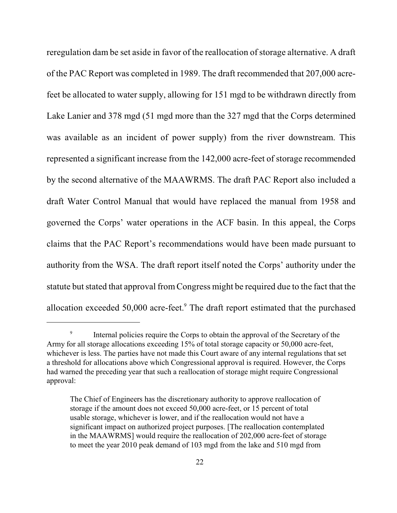reregulation dam be set aside in favor of the reallocation of storage alternative. A draft of the PAC Report was completed in 1989. The draft recommended that 207,000 acrefeet be allocated to water supply, allowing for 151 mgd to be withdrawn directly from Lake Lanier and 378 mgd (51 mgd more than the 327 mgd that the Corps determined was available as an incident of power supply) from the river downstream. This represented a significant increase from the 142,000 acre-feet of storage recommended by the second alternative of the MAAWRMS. The draft PAC Report also included a draft Water Control Manual that would have replaced the manual from 1958 and governed the Corps' water operations in the ACF basin. In this appeal, the Corps claims that the PAC Report's recommendations would have been made pursuant to authority from the WSA. The draft report itself noted the Corps' authority under the statute but stated that approval from Congress might be required due to the fact that the allocation exceeded  $50,000$  acre-feet. $9$  The draft report estimated that the purchased

<sup>&</sup>lt;sup>9</sup> Internal policies require the Corps to obtain the approval of the Secretary of the Army for all storage allocations exceeding 15% of total storage capacity or 50,000 acre-feet, whichever is less. The parties have not made this Court aware of any internal regulations that set a threshold for allocations above which Congressional approval is required. However, the Corps had warned the preceding year that such a reallocation of storage might require Congressional approval:

The Chief of Engineers has the discretionary authority to approve reallocation of storage if the amount does not exceed 50,000 acre-feet, or 15 percent of total usable storage, whichever is lower, and if the reallocation would not have a significant impact on authorized project purposes. [The reallocation contemplated in the MAAWRMS] would require the reallocation of 202,000 acre-feet of storage to meet the year 2010 peak demand of 103 mgd from the lake and 510 mgd from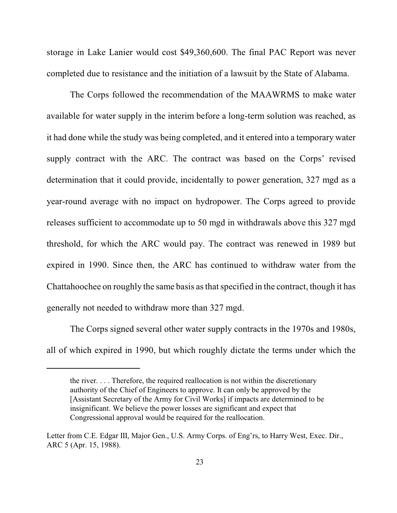storage in Lake Lanier would cost \$49,360,600. The final PAC Report was never completed due to resistance and the initiation of a lawsuit by the State of Alabama.

The Corps followed the recommendation of the MAAWRMS to make water available for water supply in the interim before a long-term solution was reached, as it had done while the study was being completed, and it entered into a temporary water supply contract with the ARC. The contract was based on the Corps' revised determination that it could provide, incidentally to power generation, 327 mgd as a year-round average with no impact on hydropower. The Corps agreed to provide releases sufficient to accommodate up to 50 mgd in withdrawals above this 327 mgd threshold, for which the ARC would pay. The contract was renewed in 1989 but expired in 1990. Since then, the ARC has continued to withdraw water from the Chattahoochee on roughly the same basis as that specified in the contract, though it has generally not needed to withdraw more than 327 mgd.

The Corps signed several other water supply contracts in the 1970s and 1980s, all of which expired in 1990, but which roughly dictate the terms under which the

the river. . . . Therefore, the required reallocation is not within the discretionary authority of the Chief of Engineers to approve. It can only be approved by the [Assistant Secretary of the Army for Civil Works] if impacts are determined to be insignificant. We believe the power losses are significant and expect that Congressional approval would be required for the reallocation.

Letter from C.E. Edgar III, Major Gen., U.S. Army Corps. of Eng'rs, to Harry West, Exec. Dir., ARC 5 (Apr. 15, 1988).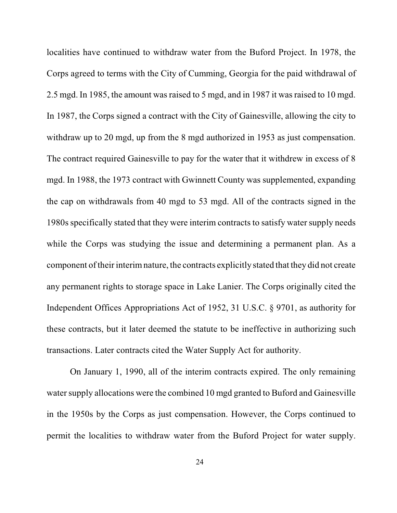localities have continued to withdraw water from the Buford Project. In 1978, the Corps agreed to terms with the City of Cumming, Georgia for the paid withdrawal of 2.5 mgd. In 1985, the amount was raised to 5 mgd, and in 1987 it wasraised to 10 mgd. In 1987, the Corps signed a contract with the City of Gainesville, allowing the city to withdraw up to 20 mgd, up from the 8 mgd authorized in 1953 as just compensation. The contract required Gainesville to pay for the water that it withdrew in excess of 8 mgd. In 1988, the 1973 contract with Gwinnett County was supplemented, expanding the cap on withdrawals from 40 mgd to 53 mgd. All of the contracts signed in the 1980s specifically stated that they were interim contracts to satisfy water supply needs while the Corps was studying the issue and determining a permanent plan. As a component oftheir interim nature, the contracts explicitly stated that they did not create any permanent rights to storage space in Lake Lanier. The Corps originally cited the Independent Offices Appropriations Act of 1952, 31 U.S.C. § 9701, as authority for these contracts, but it later deemed the statute to be ineffective in authorizing such transactions. Later contracts cited the Water Supply Act for authority.

On January 1, 1990, all of the interim contracts expired. The only remaining water supply allocations were the combined 10 mgd granted to Buford and Gainesville in the 1950s by the Corps as just compensation. However, the Corps continued to permit the localities to withdraw water from the Buford Project for water supply.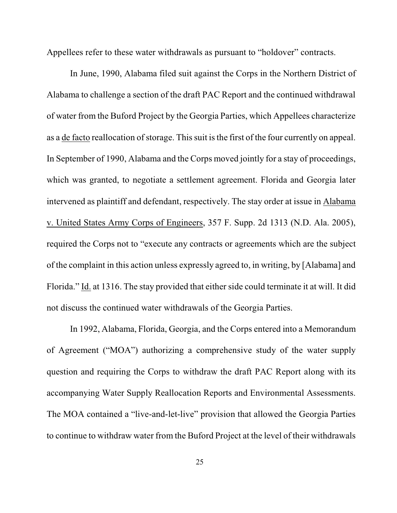Appellees refer to these water withdrawals as pursuant to "holdover" contracts.

In June, 1990, Alabama filed suit against the Corps in the Northern District of Alabama to challenge a section of the draft PAC Report and the continued withdrawal of water from the Buford Project by the Georgia Parties, which Appellees characterize as a de facto reallocation of storage. This suit is the first of the four currently on appeal. In September of 1990, Alabama and the Corps moved jointly for a stay of proceedings, which was granted, to negotiate a settlement agreement. Florida and Georgia later intervened as plaintiff and defendant, respectively. The stay order at issue in Alabama v. United States Army Corps of Engineers, 357 F. Supp. 2d 1313 (N.D. Ala. 2005), required the Corps not to "execute any contracts or agreements which are the subject of the complaint in this action unless expressly agreed to, in writing, by [Alabama] and Florida." Id. at 1316. The stay provided that either side could terminate it at will. It did not discuss the continued water withdrawals of the Georgia Parties.

In 1992, Alabama, Florida, Georgia, and the Corps entered into a Memorandum of Agreement ("MOA") authorizing a comprehensive study of the water supply question and requiring the Corps to withdraw the draft PAC Report along with its accompanying Water Supply Reallocation Reports and Environmental Assessments. The MOA contained a "live-and-let-live" provision that allowed the Georgia Parties to continue to withdraw water from the Buford Project at the level of their withdrawals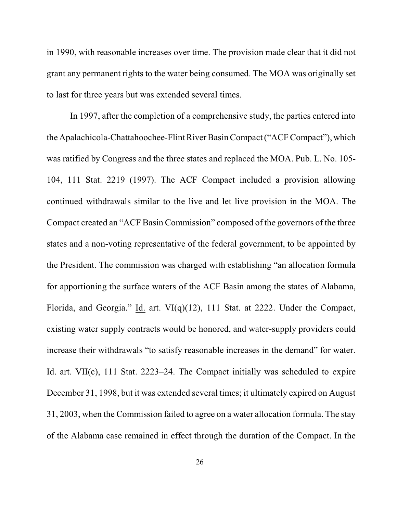in 1990, with reasonable increases over time. The provision made clear that it did not grant any permanent rights to the water being consumed. The MOA was originally set to last for three years but was extended several times.

In 1997, after the completion of a comprehensive study, the parties entered into the Apalachicola-Chattahoochee-Flint River BasinCompact("ACF Compact"), which was ratified by Congress and the three states and replaced the MOA. Pub. L. No. 105- 104, 111 Stat. 2219 (1997). The ACF Compact included a provision allowing continued withdrawals similar to the live and let live provision in the MOA. The Compact created an "ACF Basin Commission" composed of the governors of the three states and a non-voting representative of the federal government, to be appointed by the President. The commission was charged with establishing "an allocation formula for apportioning the surface waters of the ACF Basin among the states of Alabama, Florida, and Georgia." Id. art. VI(q)(12), 111 Stat. at 2222. Under the Compact, existing water supply contracts would be honored, and water-supply providers could increase their withdrawals "to satisfy reasonable increases in the demand" for water. Id. art. VII(c), 111 Stat. 2223–24. The Compact initially was scheduled to expire December 31, 1998, but it was extended several times; it ultimately expired on August 31, 2003, when the Commission failed to agree on a water allocation formula. The stay of the Alabama case remained in effect through the duration of the Compact. In the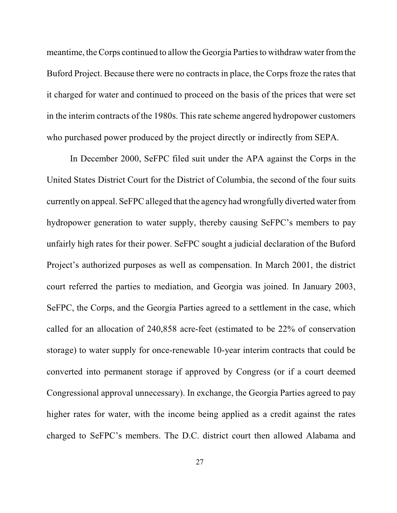meantime, the Corps continued to allow the Georgia Parties to withdraw water fromthe Buford Project. Because there were no contracts in place, the Corps froze the rates that it charged for water and continued to proceed on the basis of the prices that were set in the interim contracts of the 1980s. This rate scheme angered hydropower customers who purchased power produced by the project directly or indirectly from SEPA.

In December 2000, SeFPC filed suit under the APA against the Corps in the United States District Court for the District of Columbia, the second of the four suits currently on appeal. SeFPC alleged that the agency had wrongfully diverted water from hydropower generation to water supply, thereby causing SeFPC's members to pay unfairly high rates for their power. SeFPC sought a judicial declaration of the Buford Project's authorized purposes as well as compensation. In March 2001, the district court referred the parties to mediation, and Georgia was joined. In January 2003, SeFPC, the Corps, and the Georgia Parties agreed to a settlement in the case, which called for an allocation of 240,858 acre-feet (estimated to be 22% of conservation storage) to water supply for once-renewable 10-year interim contracts that could be converted into permanent storage if approved by Congress (or if a court deemed Congressional approval unnecessary). In exchange, the Georgia Parties agreed to pay higher rates for water, with the income being applied as a credit against the rates charged to SeFPC's members. The D.C. district court then allowed Alabama and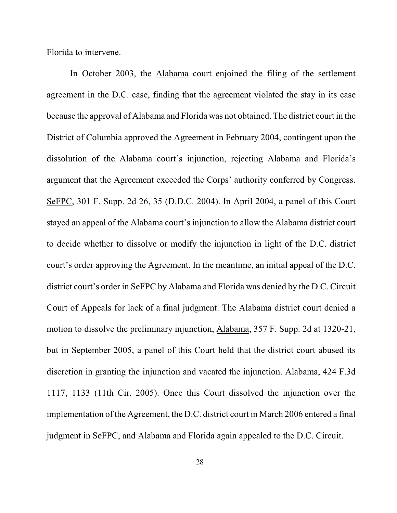Florida to intervene.

In October 2003, the Alabama court enjoined the filing of the settlement agreement in the D.C. case, finding that the agreement violated the stay in its case because the approval of Alabama and Florida was not obtained. The district court in the District of Columbia approved the Agreement in February 2004, contingent upon the dissolution of the Alabama court's injunction, rejecting Alabama and Florida's argument that the Agreement exceeded the Corps' authority conferred by Congress. SeFPC, 301 F. Supp. 2d 26, 35 (D.D.C. 2004). In April 2004, a panel of this Court stayed an appeal of the Alabama court's injunction to allow the Alabama district court to decide whether to dissolve or modify the injunction in light of the D.C. district court's order approving the Agreement. In the meantime, an initial appeal of the D.C. district court's order in SeFPC by Alabama and Florida was denied by the D.C. Circuit Court of Appeals for lack of a final judgment. The Alabama district court denied a motion to dissolve the preliminary injunction, Alabama, 357 F. Supp. 2d at 1320-21, but in September 2005, a panel of this Court held that the district court abused its discretion in granting the injunction and vacated the injunction. Alabama, 424 F.3d 1117, 1133 (11th Cir. 2005). Once this Court dissolved the injunction over the implementation of the Agreement, the D.C. district court in March 2006 entered a final judgment in SeFPC, and Alabama and Florida again appealed to the D.C. Circuit.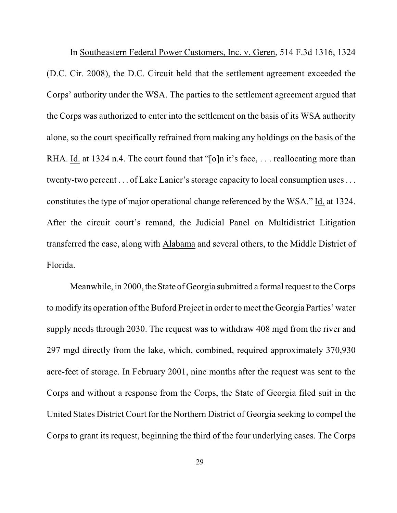In Southeastern Federal Power Customers, Inc. v. Geren, 514 F.3d 1316, 1324 (D.C. Cir. 2008), the D.C. Circuit held that the settlement agreement exceeded the Corps' authority under the WSA. The parties to the settlement agreement argued that the Corps was authorized to enter into the settlement on the basis of its WSA authority alone, so the court specifically refrained from making any holdings on the basis of the RHA. Id. at 1324 n.4. The court found that "[o]n it's face, ... reallocating more than twenty-two percent . . . of Lake Lanier's storage capacity to local consumption uses. . . constitutes the type of major operational change referenced by the WSA." Id. at 1324. After the circuit court's remand, the Judicial Panel on Multidistrict Litigation transferred the case, along with Alabama and several others, to the Middle District of Florida.

Meanwhile, in 2000, the State of Georgia submitted a formal request to the Corps to modify its operation of the Buford Project in order to meet the Georgia Parties' water supply needs through 2030. The request was to withdraw 408 mgd from the river and 297 mgd directly from the lake, which, combined, required approximately 370,930 acre-feet of storage. In February 2001, nine months after the request was sent to the Corps and without a response from the Corps, the State of Georgia filed suit in the United States District Court for the Northern District of Georgia seeking to compel the Corps to grant its request, beginning the third of the four underlying cases. The Corps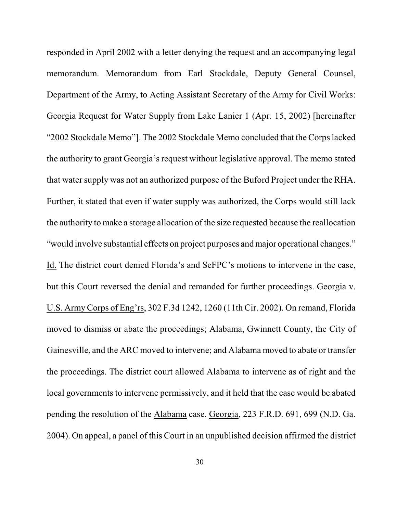responded in April 2002 with a letter denying the request and an accompanying legal memorandum. Memorandum from Earl Stockdale, Deputy General Counsel, Department of the Army, to Acting Assistant Secretary of the Army for Civil Works: Georgia Request for Water Supply from Lake Lanier 1 (Apr. 15, 2002) [hereinafter "2002 Stockdale Memo"]. The 2002 Stockdale Memo concluded that the Corps lacked the authority to grant Georgia's request without legislative approval. The memo stated that water supply was not an authorized purpose of the Buford Project under the RHA. Further, it stated that even if water supply was authorized, the Corps would still lack the authority to make a storage allocation of the size requested because the reallocation "would involve substantial effects on project purposes and major operational changes." Id. The district court denied Florida's and SeFPC's motions to intervene in the case, but this Court reversed the denial and remanded for further proceedings. Georgia v. U.S. Army Corps of Eng'rs, 302 F.3d 1242, 1260 (11th Cir. 2002). On remand, Florida moved to dismiss or abate the proceedings; Alabama, Gwinnett County, the City of Gainesville, and the ARC moved to intervene; and Alabama moved to abate or transfer the proceedings. The district court allowed Alabama to intervene as of right and the local governments to intervene permissively, and it held that the case would be abated pending the resolution of the Alabama case. Georgia, 223 F.R.D. 691, 699 (N.D. Ga. 2004). On appeal, a panel of this Court in an unpublished decision affirmed the district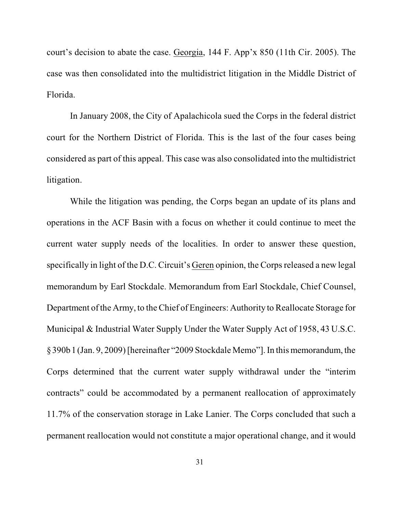court's decision to abate the case. Georgia, 144 F. App'x 850 (11th Cir. 2005). The case was then consolidated into the multidistrict litigation in the Middle District of Florida.

In January 2008, the City of Apalachicola sued the Corps in the federal district court for the Northern District of Florida. This is the last of the four cases being considered as part of this appeal. This case was also consolidated into the multidistrict litigation.

While the litigation was pending, the Corps began an update of its plans and operations in the ACF Basin with a focus on whether it could continue to meet the current water supply needs of the localities. In order to answer these question, specifically in light of the D.C. Circuit's Geren opinion, the Corps released a new legal memorandum by Earl Stockdale. Memorandum from Earl Stockdale, Chief Counsel, Department of the Army, to the Chief of Engineers: Authority to Reallocate Storage for Municipal & Industrial Water Supply Under the Water Supply Act of 1958, 43 U.S.C. §390b1(Jan. 9, 2009) [hereinafter "2009 Stockdale Memo"].In this memorandum, the Corps determined that the current water supply withdrawal under the "interim contracts" could be accommodated by a permanent reallocation of approximately 11.7% of the conservation storage in Lake Lanier. The Corps concluded that such a permanent reallocation would not constitute a major operational change, and it would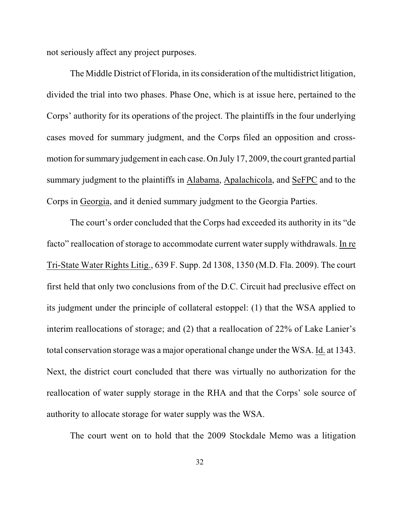not seriously affect any project purposes.

The Middle District of Florida, in its consideration of the multidistrict litigation, divided the trial into two phases. Phase One, which is at issue here, pertained to the Corps' authority for its operations of the project. The plaintiffs in the four underlying cases moved for summary judgment, and the Corps filed an opposition and crossmotion for summary judgement in each case. On July 17, 2009, the court granted partial summary judgment to the plaintiffs in Alabama, Apalachicola, and SeFPC and to the Corps in Georgia, and it denied summary judgment to the Georgia Parties.

The court's order concluded that the Corps had exceeded its authority in its "de facto" reallocation of storage to accommodate current water supply withdrawals. In re Tri-State Water Rights Litig., 639 F. Supp. 2d 1308, 1350 (M.D. Fla. 2009). The court first held that only two conclusions from of the D.C. Circuit had preclusive effect on its judgment under the principle of collateral estoppel: (1) that the WSA applied to interim reallocations of storage; and (2) that a reallocation of 22% of Lake Lanier's total conservation storage was a major operational change under the WSA. Id. at 1343. Next, the district court concluded that there was virtually no authorization for the reallocation of water supply storage in the RHA and that the Corps' sole source of authority to allocate storage for water supply was the WSA.

The court went on to hold that the 2009 Stockdale Memo was a litigation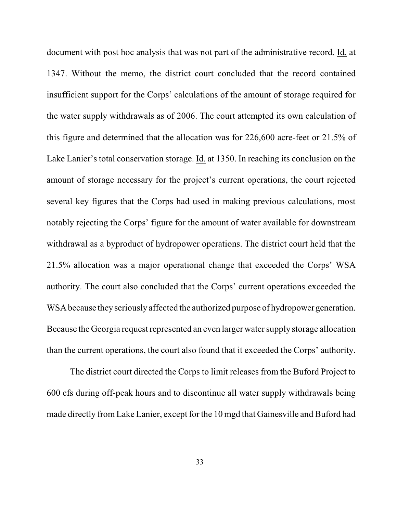document with post hoc analysis that was not part of the administrative record. Id. at 1347. Without the memo, the district court concluded that the record contained insufficient support for the Corps' calculations of the amount of storage required for the water supply withdrawals as of 2006. The court attempted its own calculation of this figure and determined that the allocation was for 226,600 acre-feet or 21.5% of Lake Lanier's total conservation storage. Id. at 1350. In reaching its conclusion on the amount of storage necessary for the project's current operations, the court rejected several key figures that the Corps had used in making previous calculations, most notably rejecting the Corps' figure for the amount of water available for downstream withdrawal as a byproduct of hydropower operations. The district court held that the 21.5% allocation was a major operational change that exceeded the Corps' WSA authority. The court also concluded that the Corps' current operations exceeded the WSA because they seriously affected the authorized purpose of hydropower generation. Because the Georgia request represented an even larger water supply storage allocation than the current operations, the court also found that it exceeded the Corps' authority.

The district court directed the Corps to limit releases from the Buford Project to 600 cfs during off-peak hours and to discontinue all water supply withdrawals being made directly from Lake Lanier, except for the 10 mgd that Gainesville and Buford had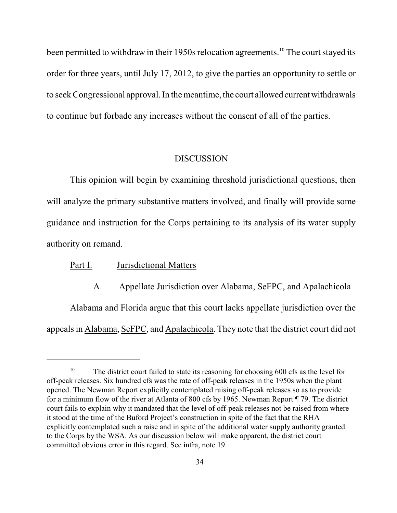been permitted to withdraw in their 1950s relocation agreements.<sup>10</sup> The court stayed its order for three years, until July 17, 2012, to give the parties an opportunity to settle or to seekCongressional approval. In the meantime, the court allowed current withdrawals to continue but forbade any increases without the consent of all of the parties.

#### DISCUSSION

This opinion will begin by examining threshold jurisdictional questions, then will analyze the primary substantive matters involved, and finally will provide some guidance and instruction for the Corps pertaining to its analysis of its water supply authority on remand.

#### Part I. Jurisdictional Matters

A. Appellate Jurisdiction over Alabama, SeFPC, and Apalachicola

Alabama and Florida argue that this court lacks appellate jurisdiction over the appeals in Alabama, SeFPC, and Apalachicola. They note that the district court did not

<sup>&</sup>lt;sup>10</sup> The district court failed to state its reasoning for choosing 600 cfs as the level for off-peak releases. Six hundred cfs was the rate of off-peak releases in the 1950s when the plant opened. The Newman Report explicitly contemplated raising off-peak releases so as to provide for a minimum flow of the river at Atlanta of 800 cfs by 1965. Newman Report ¶ 79. The district court fails to explain why it mandated that the level of off-peak releases not be raised from where it stood at the time of the Buford Project's construction in spite of the fact that the RHA explicitly contemplated such a raise and in spite of the additional water supply authority granted to the Corps by the WSA. As our discussion below will make apparent, the district court committed obvious error in this regard. See infra, note 19.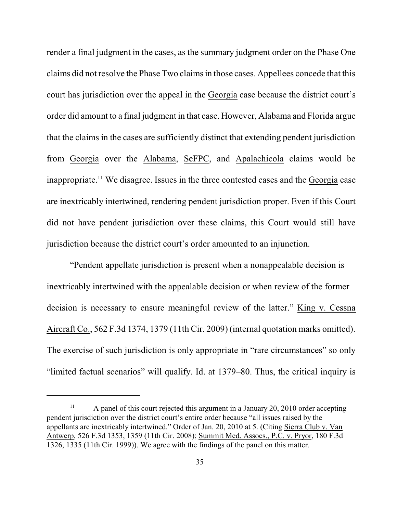render a final judgment in the cases, as the summary judgment order on the Phase One claims did not resolve the Phase Two claims in those cases. Appellees concede that this court has jurisdiction over the appeal in the Georgia case because the district court's order did amount to a final judgment in that case. However, Alabama and Florida argue that the claims in the cases are sufficiently distinct that extending pendent jurisdiction from Georgia over the Alabama, SeFPC, and Apalachicola claims would be inappropriate.<sup>11</sup> We disagree. Issues in the three contested cases and the Georgia case are inextricably intertwined, rendering pendent jurisdiction proper. Even if this Court did not have pendent jurisdiction over these claims, this Court would still have jurisdiction because the district court's order amounted to an injunction.

"Pendent appellate jurisdiction is present when a nonappealable decision is inextricably intertwined with the appealable decision or when review of the former decision is necessary to ensure meaningful review of the latter." King v. Cessna Aircraft Co., 562 F.3d 1374, 1379 (11th Cir. 2009) (internal quotation marks omitted). The exercise of such jurisdiction is only appropriate in "rare circumstances" so only "limited factual scenarios" will qualify. Id. at 1379–80. Thus, the critical inquiry is

A panel of this court rejected this argument in a January 20, 2010 order accepting <sup>11</sup> pendent jurisdiction over the district court's entire order because "all issues raised by the appellants are inextricably intertwined." Order of Jan. 20, 2010 at 5. (Citing Sierra Club v. Van Antwerp, 526 F.3d 1353, 1359 (11th Cir. 2008); Summit Med. Assocs., P.C. v. Pryor, 180 F.3d 1326, 1335 (11th Cir. 1999)). We agree with the findings of the panel on this matter.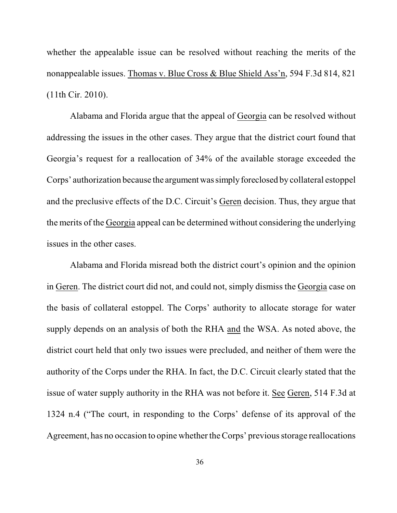whether the appealable issue can be resolved without reaching the merits of the nonappealable issues. Thomas v. Blue Cross & Blue Shield Ass'n, 594 F.3d 814, 821 (11th Cir. 2010).

Alabama and Florida argue that the appeal of Georgia can be resolved without addressing the issues in the other cases. They argue that the district court found that Georgia's request for a reallocation of 34% of the available storage exceeded the Corps' authorization because the argument wassimplyforeclosed by collateral estoppel and the preclusive effects of the D.C. Circuit's Geren decision. Thus, they argue that the merits of the Georgia appeal can be determined without considering the underlying issues in the other cases.

Alabama and Florida misread both the district court's opinion and the opinion in Geren. The district court did not, and could not, simply dismiss the Georgia case on the basis of collateral estoppel. The Corps' authority to allocate storage for water supply depends on an analysis of both the RHA and the WSA. As noted above, the district court held that only two issues were precluded, and neither of them were the authority of the Corps under the RHA. In fact, the D.C. Circuit clearly stated that the issue of water supply authority in the RHA was not before it. See Geren, 514 F.3d at 1324 n.4 ("The court, in responding to the Corps' defense of its approval of the Agreement, has no occasion to opine whether the Corps' previous storage reallocations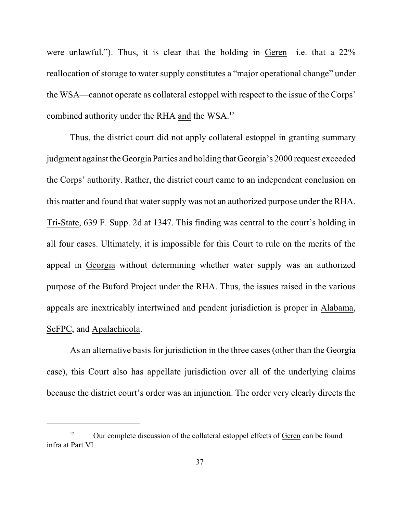were unlawful."). Thus, it is clear that the holding in Geren—i.e. that a 22% reallocation of storage to water supply constitutes a "major operational change" under the WSA—cannot operate as collateral estoppel with respect to the issue of the Corps' combined authority under the RHA and the WSA.<sup>12</sup>

Thus, the district court did not apply collateral estoppel in granting summary judgment against the Georgia Parties and holding that Georgia's 2000 request exceeded the Corps' authority. Rather, the district court came to an independent conclusion on this matter and found that water supply was not an authorized purpose under the RHA. Tri-State, 639 F. Supp. 2d at 1347. This finding was central to the court's holding in all four cases. Ultimately, it is impossible for this Court to rule on the merits of the appeal in Georgia without determining whether water supply was an authorized purpose of the Buford Project under the RHA. Thus, the issues raised in the various appeals are inextricably intertwined and pendent jurisdiction is proper in Alabama, SeFPC, and Apalachicola.

As an alternative basis for jurisdiction in the three cases (other than the Georgia case), this Court also has appellate jurisdiction over all of the underlying claims because the district court's order was an injunction. The order very clearly directs the

 $12$  Our complete discussion of the collateral estoppel effects of Geren can be found infra at Part VI.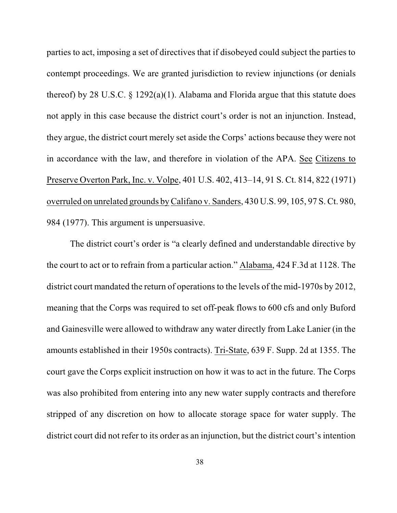parties to act, imposing a set of directives that if disobeyed could subject the parties to contempt proceedings. We are granted jurisdiction to review injunctions (or denials thereof) by 28 U.S.C. § 1292(a)(1). Alabama and Florida argue that this statute does not apply in this case because the district court's order is not an injunction. Instead, they argue, the district court merely set aside the Corps' actions because they were not in accordance with the law, and therefore in violation of the APA. See Citizens to Preserve Overton Park, Inc. v. Volpe, 401 U.S. 402, 413–14, 91 S. Ct. 814, 822 (1971) overruled on unrelated grounds by Califano v. Sanders, 430 U.S. 99, 105, 97 S. Ct. 980, 984 (1977). This argument is unpersuasive.

The district court's order is "a clearly defined and understandable directive by the court to act or to refrain from a particular action." Alabama, 424 F.3d at 1128. The district court mandated the return of operations to the levels of the mid-1970s by 2012, meaning that the Corps was required to set off-peak flows to 600 cfs and only Buford and Gainesville were allowed to withdraw any water directly from Lake Lanier (in the amounts established in their 1950s contracts). Tri-State, 639 F. Supp. 2d at 1355. The court gave the Corps explicit instruction on how it was to act in the future. The Corps was also prohibited from entering into any new water supply contracts and therefore stripped of any discretion on how to allocate storage space for water supply. The district court did not refer to its order as an injunction, but the district court's intention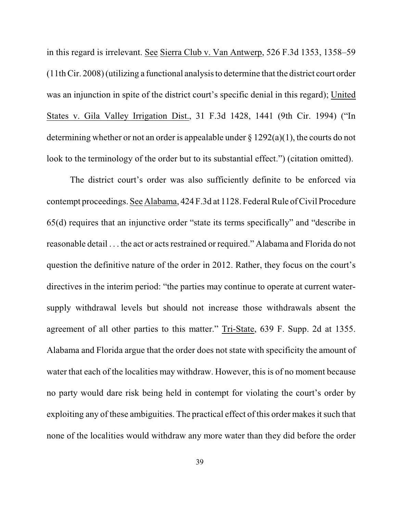in this regard is irrelevant. See Sierra Club v. Van Antwerp, 526 F.3d 1353, 1358–59 (11th Cir. 2008) (utilizing a functional analysis to determine that the district court order was an injunction in spite of the district court's specific denial in this regard); United States v. Gila Valley Irrigation Dist., 31 F.3d 1428, 1441 (9th Cir. 1994) ("In determining whether or not an order is appealable under § 1292(a)(1), the courts do not look to the terminology of the order but to its substantial effect.") (citation omitted).

The district court's order was also sufficiently definite to be enforced via contempt proceedings. See Alabama, 424 F.3d at 1128. Federal Rule of Civil Procedure 65(d) requires that an injunctive order "state its terms specifically" and "describe in reasonable detail . . . the act or acts restrained or required." Alabama and Florida do not question the definitive nature of the order in 2012. Rather, they focus on the court's directives in the interim period: "the parties may continue to operate at current watersupply withdrawal levels but should not increase those withdrawals absent the agreement of all other parties to this matter." Tri-State, 639 F. Supp. 2d at 1355. Alabama and Florida argue that the order does not state with specificity the amount of water that each of the localities may withdraw. However, this is of no moment because no party would dare risk being held in contempt for violating the court's order by exploiting any of these ambiguities. The practical effect of this order makes it such that none of the localities would withdraw any more water than they did before the order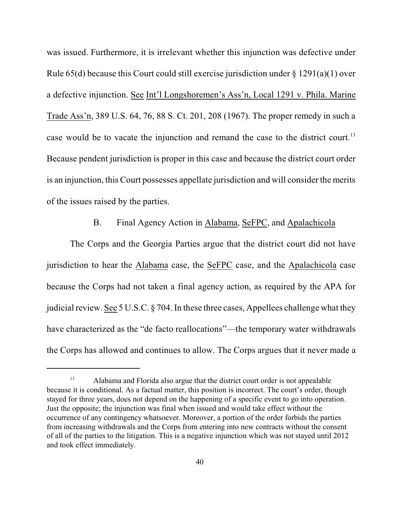was issued. Furthermore, it is irrelevant whether this injunction was defective under Rule 65(d) because this Court could still exercise jurisdiction under § 1291(a)(1) over a defective injunction. See Int'l Longshoremen's Ass'n, Local 1291 v. Phila. Marine Trade Ass'n, 389 U.S. 64, 76, 88 S. Ct. 201, 208 (1967). The proper remedy in such a case would be to vacate the injunction and remand the case to the district court.<sup>13</sup> Because pendent jurisdiction is proper in this case and because the district court order is an injunction, this Court possesses appellate jurisdiction and will consider the merits of the issues raised by the parties.

## B. Final Agency Action in Alabama, SeFPC, and Apalachicola

The Corps and the Georgia Parties argue that the district court did not have jurisdiction to hear the Alabama case, the SeFPC case, and the Apalachicola case because the Corps had not taken a final agency action, as required by the APA for judicial review. See 5 U.S.C. § 704. In these three cases, Appellees challenge what they have characterized as the "de facto reallocations"—the temporary water withdrawals the Corps has allowed and continues to allow. The Corps argues that it never made a

<sup>&</sup>lt;sup>13</sup> Alabama and Florida also argue that the district court order is not appealable because it is conditional. As a factual matter, this position is incorrect. The court's order, though stayed for three years, does not depend on the happening of a specific event to go into operation. Just the opposite; the injunction was final when issued and would take effect without the occurrence of any contingency whatsoever. Moreover, a portion of the order forbids the parties from increasing withdrawals and the Corps from entering into new contracts without the consent of all of the parties to the litigation. This is a negative injunction which was not stayed until 2012 and took effect immediately.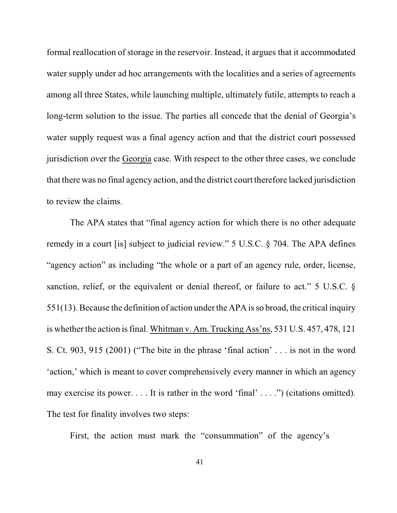formal reallocation of storage in the reservoir. Instead, it argues that it accommodated water supply under ad hoc arrangements with the localities and a series of agreements among all three States, while launching multiple, ultimately futile, attempts to reach a long-term solution to the issue. The parties all concede that the denial of Georgia's water supply request was a final agency action and that the district court possessed jurisdiction over the Georgia case. With respect to the other three cases, we conclude that there was no final agency action, and the district court therefore lacked jurisdiction to review the claims.

The APA states that "final agency action for which there is no other adequate remedy in a court [is] subject to judicial review." 5 U.S.C. § 704. The APA defines "agency action" as including "the whole or a part of an agency rule, order, license, sanction, relief, or the equivalent or denial thereof, or failure to act." 5 U.S.C. § 551(13). Because the definition of action under the APA isso broad, the critical inquiry is whether the action isfinal. Whitman v. Am. Trucking Ass'ns, 531 U.S. 457, 478, 121 S. Ct. 903, 915 (2001) ("The bite in the phrase 'final action' . . . is not in the word 'action,' which is meant to cover comprehensively every manner in which an agency may exercise its power. . . . It is rather in the word 'final' . . . .") (citations omitted). The test for finality involves two steps:

First, the action must mark the "consummation" of the agency's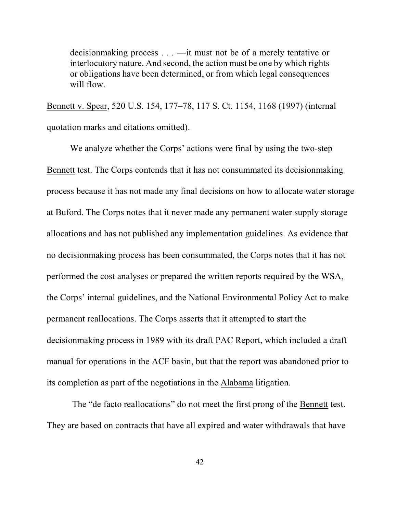decisionmaking process . . . —it must not be of a merely tentative or interlocutory nature. And second, the action must be one by which rights or obligations have been determined, or from which legal consequences will flow.

Bennett v. Spear, 520 U.S. 154, 177–78, 117 S. Ct. 1154, 1168 (1997) (internal quotation marks and citations omitted).

We analyze whether the Corps' actions were final by using the two-step Bennett test. The Corps contends that it has not consummated its decisionmaking process because it has not made any final decisions on how to allocate water storage at Buford. The Corps notes that it never made any permanent water supply storage allocations and has not published any implementation guidelines. As evidence that no decisionmaking process has been consummated, the Corps notes that it has not performed the cost analyses or prepared the written reports required by the WSA, the Corps' internal guidelines, and the National Environmental Policy Act to make permanent reallocations. The Corps asserts that it attempted to start the decisionmaking process in 1989 with its draft PAC Report, which included a draft manual for operations in the ACF basin, but that the report was abandoned prior to its completion as part of the negotiations in the Alabama litigation.

 The "de facto reallocations" do not meet the first prong of the Bennett test. They are based on contracts that have all expired and water withdrawals that have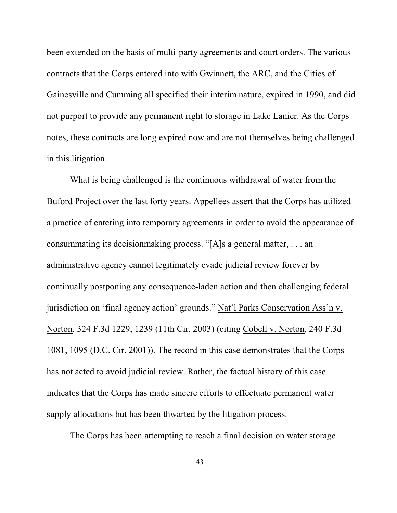been extended on the basis of multi-party agreements and court orders. The various contracts that the Corps entered into with Gwinnett, the ARC, and the Cities of Gainesville and Cumming all specified their interim nature, expired in 1990, and did not purport to provide any permanent right to storage in Lake Lanier. As the Corps notes, these contracts are long expired now and are not themselves being challenged in this litigation.

What is being challenged is the continuous withdrawal of water from the Buford Project over the last forty years. Appellees assert that the Corps has utilized a practice of entering into temporary agreements in order to avoid the appearance of consummating its decisionmaking process. "[A]s a general matter, . . . an administrative agency cannot legitimately evade judicial review forever by continually postponing any consequence-laden action and then challenging federal jurisdiction on 'final agency action' grounds." Nat'l Parks Conservation Ass'n v. Norton, 324 F.3d 1229, 1239 (11th Cir. 2003) (citing Cobell v. Norton, 240 F.3d 1081, 1095 (D.C. Cir. 2001)). The record in this case demonstrates that the Corps has not acted to avoid judicial review. Rather, the factual history of this case indicates that the Corps has made sincere efforts to effectuate permanent water supply allocations but has been thwarted by the litigation process.

The Corps has been attempting to reach a final decision on water storage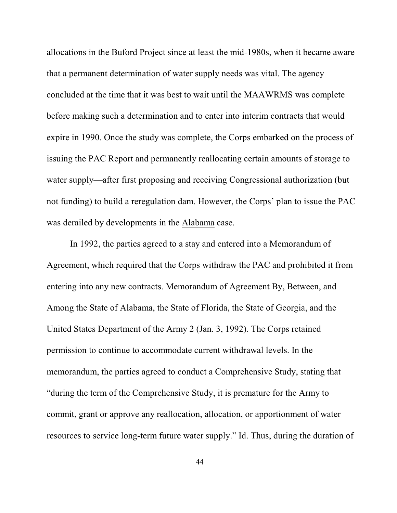allocations in the Buford Project since at least the mid-1980s, when it became aware that a permanent determination of water supply needs was vital. The agency concluded at the time that it was best to wait until the MAAWRMS was complete before making such a determination and to enter into interim contracts that would expire in 1990. Once the study was complete, the Corps embarked on the process of issuing the PAC Report and permanently reallocating certain amounts of storage to water supply—after first proposing and receiving Congressional authorization (but not funding) to build a reregulation dam. However, the Corps' plan to issue the PAC was derailed by developments in the Alabama case.

In 1992, the parties agreed to a stay and entered into a Memorandum of Agreement, which required that the Corps withdraw the PAC and prohibited it from entering into any new contracts. Memorandum of Agreement By, Between, and Among the State of Alabama, the State of Florida, the State of Georgia, and the United States Department of the Army 2 (Jan. 3, 1992). The Corps retained permission to continue to accommodate current withdrawal levels. In the memorandum, the parties agreed to conduct a Comprehensive Study, stating that "during the term of the Comprehensive Study, it is premature for the Army to commit, grant or approve any reallocation, allocation, or apportionment of water resources to service long-term future water supply." Id. Thus, during the duration of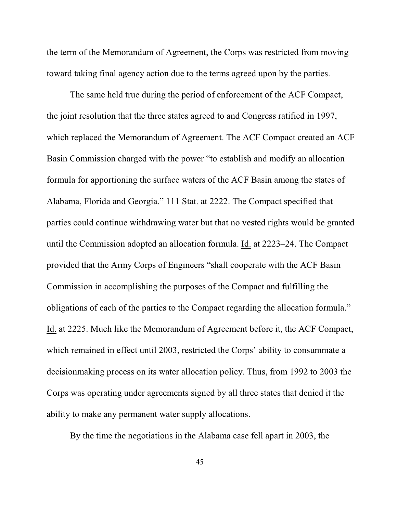the term of the Memorandum of Agreement, the Corps was restricted from moving toward taking final agency action due to the terms agreed upon by the parties.

The same held true during the period of enforcement of the ACF Compact, the joint resolution that the three states agreed to and Congress ratified in 1997, which replaced the Memorandum of Agreement. The ACF Compact created an ACF Basin Commission charged with the power "to establish and modify an allocation formula for apportioning the surface waters of the ACF Basin among the states of Alabama, Florida and Georgia." 111 Stat. at 2222. The Compact specified that parties could continue withdrawing water but that no vested rights would be granted until the Commission adopted an allocation formula. Id. at 2223–24. The Compact provided that the Army Corps of Engineers "shall cooperate with the ACF Basin Commission in accomplishing the purposes of the Compact and fulfilling the obligations of each of the parties to the Compact regarding the allocation formula." Id. at 2225. Much like the Memorandum of Agreement before it, the ACF Compact, which remained in effect until 2003, restricted the Corps' ability to consummate a decisionmaking process on its water allocation policy. Thus, from 1992 to 2003 the Corps was operating under agreements signed by all three states that denied it the ability to make any permanent water supply allocations.

By the time the negotiations in the Alabama case fell apart in 2003, the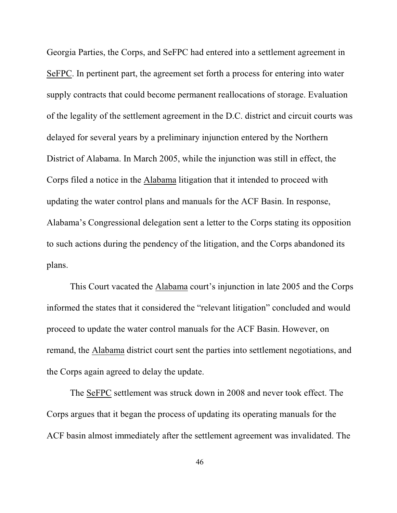Georgia Parties, the Corps, and SeFPC had entered into a settlement agreement in SeFPC. In pertinent part, the agreement set forth a process for entering into water supply contracts that could become permanent reallocations of storage. Evaluation of the legality of the settlement agreement in the D.C. district and circuit courts was delayed for several years by a preliminary injunction entered by the Northern District of Alabama. In March 2005, while the injunction was still in effect, the Corps filed a notice in the Alabama litigation that it intended to proceed with updating the water control plans and manuals for the ACF Basin. In response, Alabama's Congressional delegation sent a letter to the Corps stating its opposition to such actions during the pendency of the litigation, and the Corps abandoned its plans.

This Court vacated the Alabama court's injunction in late 2005 and the Corps informed the states that it considered the "relevant litigation" concluded and would proceed to update the water control manuals for the ACF Basin. However, on remand, the Alabama district court sent the parties into settlement negotiations, and the Corps again agreed to delay the update.

The SeFPC settlement was struck down in 2008 and never took effect. The Corps argues that it began the process of updating its operating manuals for the ACF basin almost immediately after the settlement agreement was invalidated. The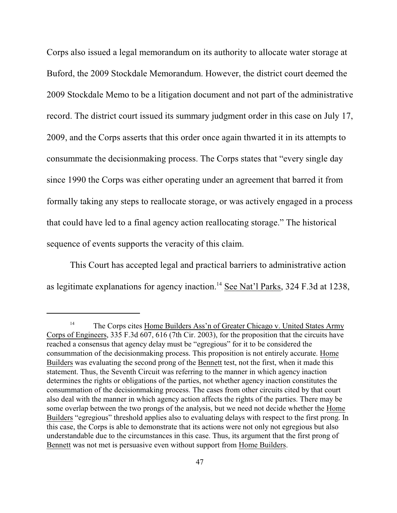Corps also issued a legal memorandum on its authority to allocate water storage at Buford, the 2009 Stockdale Memorandum. However, the district court deemed the 2009 Stockdale Memo to be a litigation document and not part of the administrative record. The district court issued its summary judgment order in this case on July 17, 2009, and the Corps asserts that this order once again thwarted it in its attempts to consummate the decisionmaking process. The Corps states that "every single day since 1990 the Corps was either operating under an agreement that barred it from formally taking any steps to reallocate storage, or was actively engaged in a process that could have led to a final agency action reallocating storage." The historical sequence of events supports the veracity of this claim.

This Court has accepted legal and practical barriers to administrative action as legitimate explanations for agency inaction.<sup>14</sup> See Nat'l Parks, 324 F.3d at 1238,

<sup>&</sup>lt;sup>14</sup> The Corps cites Home Builders Ass'n of Greater Chicago v. United States Army Corps of Engineers, 335 F.3d 607, 616 (7th Cir. 2003), for the proposition that the circuits have reached a consensus that agency delay must be "egregious" for it to be considered the consummation of the decisionmaking process. This proposition is not entirely accurate. Home Builders was evaluating the second prong of the Bennett test, not the first, when it made this statement. Thus, the Seventh Circuit was referring to the manner in which agency inaction determines the rights or obligations of the parties, not whether agency inaction constitutes the consummation of the decisionmaking process. The cases from other circuits cited by that court also deal with the manner in which agency action affects the rights of the parties. There may be some overlap between the two prongs of the analysis, but we need not decide whether the Home Builders "egregious" threshold applies also to evaluating delays with respect to the first prong. In this case, the Corps is able to demonstrate that its actions were not only not egregious but also understandable due to the circumstances in this case. Thus, its argument that the first prong of Bennett was not met is persuasive even without support from Home Builders.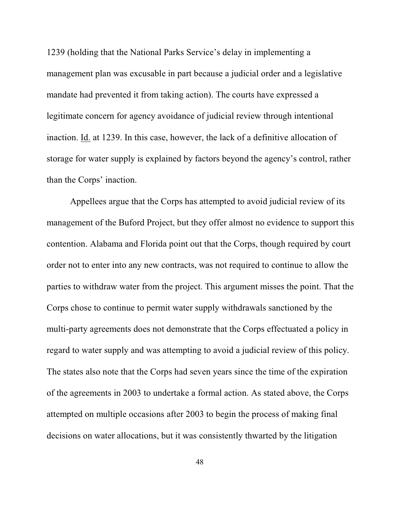1239 (holding that the National Parks Service's delay in implementing a management plan was excusable in part because a judicial order and a legislative mandate had prevented it from taking action). The courts have expressed a legitimate concern for agency avoidance of judicial review through intentional inaction. Id. at 1239. In this case, however, the lack of a definitive allocation of storage for water supply is explained by factors beyond the agency's control, rather than the Corps' inaction.

Appellees argue that the Corps has attempted to avoid judicial review of its management of the Buford Project, but they offer almost no evidence to support this contention. Alabama and Florida point out that the Corps, though required by court order not to enter into any new contracts, was not required to continue to allow the parties to withdraw water from the project. This argument misses the point. That the Corps chose to continue to permit water supply withdrawals sanctioned by the multi-party agreements does not demonstrate that the Corps effectuated a policy in regard to water supply and was attempting to avoid a judicial review of this policy. The states also note that the Corps had seven years since the time of the expiration of the agreements in 2003 to undertake a formal action. As stated above, the Corps attempted on multiple occasions after 2003 to begin the process of making final decisions on water allocations, but it was consistently thwarted by the litigation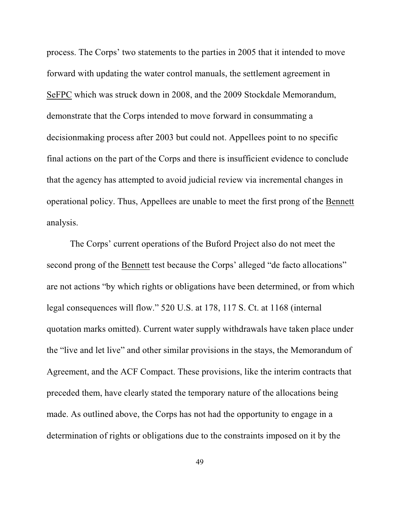process. The Corps' two statements to the parties in 2005 that it intended to move forward with updating the water control manuals, the settlement agreement in SeFPC which was struck down in 2008, and the 2009 Stockdale Memorandum, demonstrate that the Corps intended to move forward in consummating a decisionmaking process after 2003 but could not. Appellees point to no specific final actions on the part of the Corps and there is insufficient evidence to conclude that the agency has attempted to avoid judicial review via incremental changes in operational policy. Thus, Appellees are unable to meet the first prong of the Bennett analysis.

The Corps' current operations of the Buford Project also do not meet the second prong of the Bennett test because the Corps' alleged "de facto allocations" are not actions "by which rights or obligations have been determined, or from which legal consequences will flow." 520 U.S. at 178, 117 S. Ct. at 1168 (internal quotation marks omitted). Current water supply withdrawals have taken place under the "live and let live" and other similar provisions in the stays, the Memorandum of Agreement, and the ACF Compact. These provisions, like the interim contracts that preceded them, have clearly stated the temporary nature of the allocations being made. As outlined above, the Corps has not had the opportunity to engage in a determination of rights or obligations due to the constraints imposed on it by the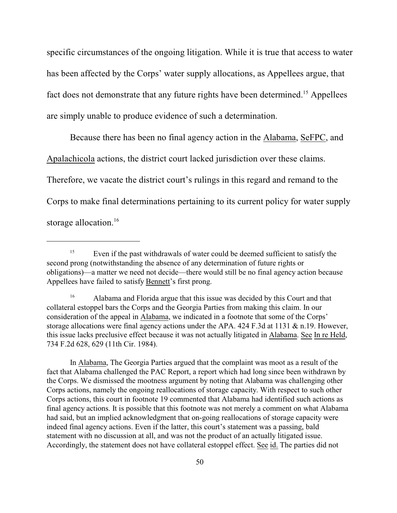specific circumstances of the ongoing litigation. While it is true that access to water has been affected by the Corps' water supply allocations, as Appellees argue, that fact does not demonstrate that any future rights have been determined.<sup>15</sup> Appellees are simply unable to produce evidence of such a determination.

Because there has been no final agency action in the Alabama, SeFPC, and Apalachicola actions, the district court lacked jurisdiction over these claims. Therefore, we vacate the district court's rulings in this regard and remand to the Corps to make final determinations pertaining to its current policy for water supply storage allocation.<sup>16</sup>

In Alabama, The Georgia Parties argued that the complaint was moot as a result of the fact that Alabama challenged the PAC Report, a report which had long since been withdrawn by the Corps. We dismissed the mootness argument by noting that Alabama was challenging other Corps actions, namely the ongoing reallocations of storage capacity. With respect to such other Corps actions, this court in footnote 19 commented that Alabama had identified such actions as final agency actions. It is possible that this footnote was not merely a comment on what Alabama had said, but an implied acknowledgment that on-going reallocations of storage capacity were indeed final agency actions. Even if the latter, this court's statement was a passing, bald statement with no discussion at all, and was not the product of an actually litigated issue. Accordingly, the statement does not have collateral estoppel effect. See id. The parties did not

 $E$ <sup>15</sup> Even if the past withdrawals of water could be deemed sufficient to satisfy the second prong (notwithstanding the absence of any determination of future rights or obligations)—a matter we need not decide—there would still be no final agency action because Appellees have failed to satisfy Bennett's first prong.

<sup>&</sup>lt;sup>16</sup> Alabama and Florida argue that this issue was decided by this Court and that collateral estoppel bars the Corps and the Georgia Parties from making this claim. In our consideration of the appeal in Alabama, we indicated in a footnote that some of the Corps' storage allocations were final agency actions under the APA. 424 F.3d at 1131 & n.19. However, this issue lacks preclusive effect because it was not actually litigated in Alabama. See In re Held, 734 F.2d 628, 629 (11th Cir. 1984).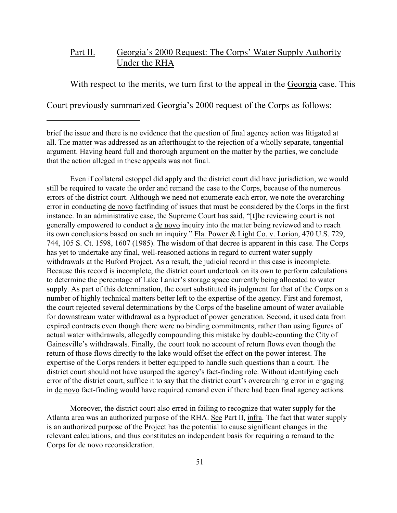## Part II. Georgia's 2000 Request: The Corps' Water Supply Authority Under the RHA

With respect to the merits, we turn first to the appeal in the Georgia case. This

Court previously summarized Georgia's 2000 request of the Corps as follows:

Even if collateral estoppel did apply and the district court did have jurisdiction, we would still be required to vacate the order and remand the case to the Corps, because of the numerous errors of the district court. Although we need not enumerate each error, we note the overarching error in conducting de novo factfinding of issues that must be considered by the Corps in the first instance. In an administrative case, the Supreme Court has said, "[t]he reviewing court is not generally empowered to conduct a de novo inquiry into the matter being reviewed and to reach its own conclusions based on such an inquiry." Fla. Power & Light Co. v. Lorion, 470 U.S. 729, 744, 105 S. Ct. 1598, 1607 (1985). The wisdom of that decree is apparent in this case. The Corps has yet to undertake any final, well-reasoned actions in regard to current water supply withdrawals at the Buford Project. As a result, the judicial record in this case is incomplete. Because this record is incomplete, the district court undertook on its own to perform calculations to determine the percentage of Lake Lanier's storage space currently being allocated to water supply. As part of this determination, the court substituted its judgment for that of the Corps on a number of highly technical matters better left to the expertise of the agency. First and foremost, the court rejected several determinations by the Corps of the baseline amount of water available for downstream water withdrawal as a byproduct of power generation. Second, it used data from expired contracts even though there were no binding commitments, rather than using figures of actual water withdrawals, allegedly compounding this mistake by double-counting the City of Gainesville's withdrawals. Finally, the court took no account of return flows even though the return of those flows directly to the lake would offset the effect on the power interest. The expertise of the Corps renders it better equipped to handle such questions than a court. The district court should not have usurped the agency's fact-finding role. Without identifying each error of the district court, suffice it to say that the district court's overearching error in engaging in de novo fact-finding would have required remand even if there had been final agency actions.

Moreover, the district court also erred in failing to recognize that water supply for the Atlanta area was an authorized purpose of the RHA. See Part II, infra. The fact that water supply is an authorized purpose of the Project has the potential to cause significant changes in the relevant calculations, and thus constitutes an independent basis for requiring a remand to the Corps for de novo reconsideration.

brief the issue and there is no evidence that the question of final agency action was litigated at all. The matter was addressed as an afterthought to the rejection of a wholly separate, tangential argument. Having heard full and thorough argument on the matter by the parties, we conclude that the action alleged in these appeals was not final.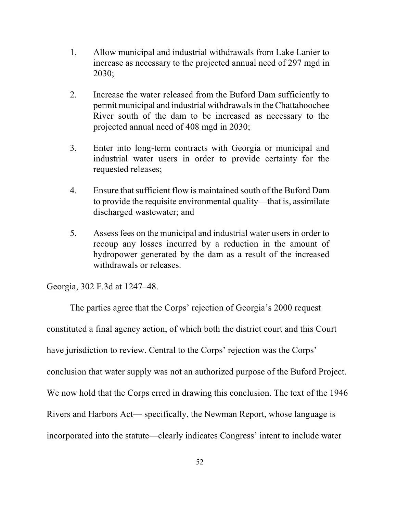- 1. Allow municipal and industrial withdrawals from Lake Lanier to increase as necessary to the projected annual need of 297 mgd in 2030;
- 2. Increase the water released from the Buford Dam sufficiently to permit municipal and industrial withdrawals in the Chattahoochee River south of the dam to be increased as necessary to the projected annual need of 408 mgd in 2030;
- 3. Enter into long-term contracts with Georgia or municipal and industrial water users in order to provide certainty for the requested releases;
- 4. Ensure that sufficient flow is maintained south of the Buford Dam to provide the requisite environmental quality—that is, assimilate discharged wastewater; and
- 5. Assess fees on the municipal and industrial water users in order to recoup any losses incurred by a reduction in the amount of hydropower generated by the dam as a result of the increased withdrawals or releases.

Georgia, 302 F.3d at 1247–48.

The parties agree that the Corps' rejection of Georgia's 2000 request constituted a final agency action, of which both the district court and this Court have jurisdiction to review. Central to the Corps' rejection was the Corps' conclusion that water supply was not an authorized purpose of the Buford Project. We now hold that the Corps erred in drawing this conclusion. The text of the 1946 Rivers and Harbors Act— specifically, the Newman Report, whose language is incorporated into the statute—clearly indicates Congress' intent to include water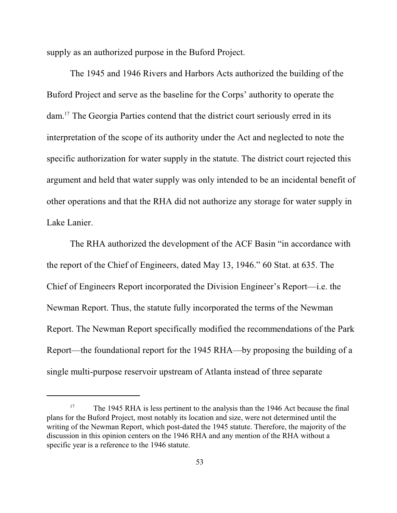supply as an authorized purpose in the Buford Project.

The 1945 and 1946 Rivers and Harbors Acts authorized the building of the Buford Project and serve as the baseline for the Corps' authority to operate the dam.<sup>17</sup> The Georgia Parties contend that the district court seriously erred in its interpretation of the scope of its authority under the Act and neglected to note the specific authorization for water supply in the statute. The district court rejected this argument and held that water supply was only intended to be an incidental benefit of other operations and that the RHA did not authorize any storage for water supply in Lake Lanier.

The RHA authorized the development of the ACF Basin "in accordance with the report of the Chief of Engineers, dated May 13, 1946." 60 Stat. at 635. The Chief of Engineers Report incorporated the Division Engineer's Report—i.e. the Newman Report. Thus, the statute fully incorporated the terms of the Newman Report. The Newman Report specifically modified the recommendations of the Park Report—the foundational report for the 1945 RHA—by proposing the building of a single multi-purpose reservoir upstream of Atlanta instead of three separate

<sup>&</sup>lt;sup>17</sup> The 1945 RHA is less pertinent to the analysis than the 1946 Act because the final plans for the Buford Project, most notably its location and size, were not determined until the writing of the Newman Report, which post-dated the 1945 statute. Therefore, the majority of the discussion in this opinion centers on the 1946 RHA and any mention of the RHA without a specific year is a reference to the 1946 statute.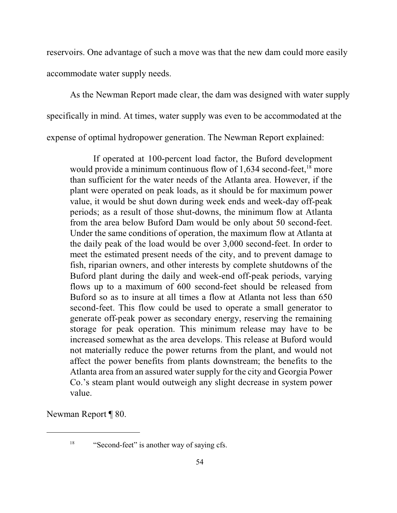reservoirs. One advantage of such a move was that the new dam could more easily accommodate water supply needs.

As the Newman Report made clear, the dam was designed with water supply specifically in mind. At times, water supply was even to be accommodated at the expense of optimal hydropower generation. The Newman Report explained:

If operated at 100-percent load factor, the Buford development would provide a minimum continuous flow of  $1,634$  second-feet,  $18$  more than sufficient for the water needs of the Atlanta area. However, if the plant were operated on peak loads, as it should be for maximum power value, it would be shut down during week ends and week-day off-peak periods; as a result of those shut-downs, the minimum flow at Atlanta from the area below Buford Dam would be only about 50 second-feet. Under the same conditions of operation, the maximum flow at Atlanta at the daily peak of the load would be over 3,000 second-feet. In order to meet the estimated present needs of the city, and to prevent damage to fish, riparian owners, and other interests by complete shutdowns of the Buford plant during the daily and week-end off-peak periods, varying flows up to a maximum of 600 second-feet should be released from Buford so as to insure at all times a flow at Atlanta not less than 650 second-feet. This flow could be used to operate a small generator to generate off-peak power as secondary energy, reserving the remaining storage for peak operation. This minimum release may have to be increased somewhat as the area develops. This release at Buford would not materially reduce the power returns from the plant, and would not affect the power benefits from plants downstream; the benefits to the Atlanta area from an assured water supply for the city and Georgia Power Co.'s steam plant would outweigh any slight decrease in system power value.

Newman Report ¶ 80.

 $\frac{18}{18}$  "Second-feet" is another way of saying cfs.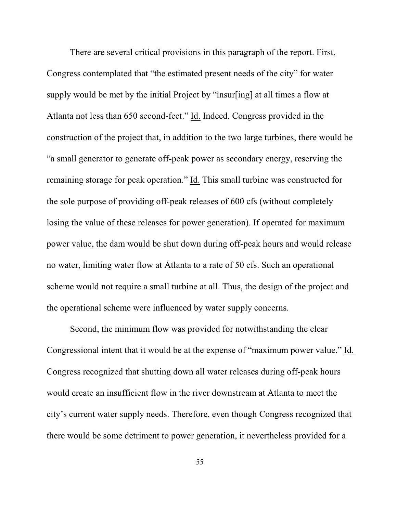There are several critical provisions in this paragraph of the report. First, Congress contemplated that "the estimated present needs of the city" for water supply would be met by the initial Project by "insur[ing] at all times a flow at Atlanta not less than 650 second-feet." Id. Indeed, Congress provided in the construction of the project that, in addition to the two large turbines, there would be "a small generator to generate off-peak power as secondary energy, reserving the remaining storage for peak operation." Id. This small turbine was constructed for the sole purpose of providing off-peak releases of 600 cfs (without completely losing the value of these releases for power generation). If operated for maximum power value, the dam would be shut down during off-peak hours and would release no water, limiting water flow at Atlanta to a rate of 50 cfs. Such an operational scheme would not require a small turbine at all. Thus, the design of the project and the operational scheme were influenced by water supply concerns.

Second, the minimum flow was provided for notwithstanding the clear Congressional intent that it would be at the expense of "maximum power value." Id. Congress recognized that shutting down all water releases during off-peak hours would create an insufficient flow in the river downstream at Atlanta to meet the city's current water supply needs. Therefore, even though Congress recognized that there would be some detriment to power generation, it nevertheless provided for a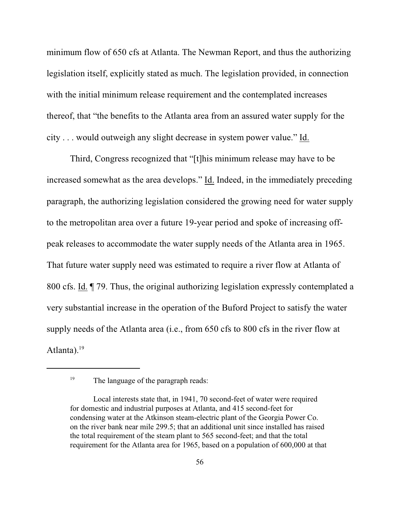minimum flow of 650 cfs at Atlanta. The Newman Report, and thus the authorizing legislation itself, explicitly stated as much. The legislation provided, in connection with the initial minimum release requirement and the contemplated increases thereof, that "the benefits to the Atlanta area from an assured water supply for the city . . . would outweigh any slight decrease in system power value." Id.

Third, Congress recognized that "[t]his minimum release may have to be increased somewhat as the area develops." Id. Indeed, in the immediately preceding paragraph, the authorizing legislation considered the growing need for water supply to the metropolitan area over a future 19-year period and spoke of increasing offpeak releases to accommodate the water supply needs of the Atlanta area in 1965. That future water supply need was estimated to require a river flow at Atlanta of 800 cfs. Id. ¶ 79. Thus, the original authorizing legislation expressly contemplated a very substantial increase in the operation of the Buford Project to satisfy the water supply needs of the Atlanta area (i.e., from 650 cfs to 800 cfs in the river flow at Atlanta). $19$ 

<sup>&</sup>lt;sup>19</sup> The language of the paragraph reads:

Local interests state that, in 1941, 70 second-feet of water were required for domestic and industrial purposes at Atlanta, and 415 second-feet for condensing water at the Atkinson steam-electric plant of the Georgia Power Co. on the river bank near mile 299.5; that an additional unit since installed has raised the total requirement of the steam plant to 565 second-feet; and that the total requirement for the Atlanta area for 1965, based on a population of 600,000 at that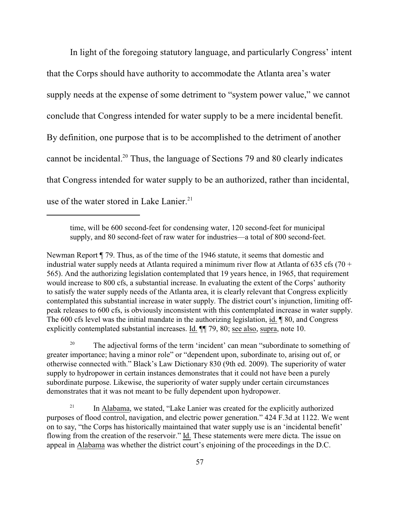In light of the foregoing statutory language, and particularly Congress' intent that the Corps should have authority to accommodate the Atlanta area's water supply needs at the expense of some detriment to "system power value," we cannot conclude that Congress intended for water supply to be a mere incidental benefit. By definition, one purpose that is to be accomplished to the detriment of another cannot be incidental.<sup>20</sup> Thus, the language of Sections 79 and 80 clearly indicates that Congress intended for water supply to be an authorized, rather than incidental, use of the water stored in Lake Lanier. $21$ 

Newman Report ¶ 79. Thus, as of the time of the 1946 statute, it seems that domestic and industrial water supply needs at Atlanta required a minimum river flow at Atlanta of 635 cfs (70 + 565). And the authorizing legislation contemplated that 19 years hence, in 1965, that requirement would increase to 800 cfs, a substantial increase. In evaluating the extent of the Corps' authority to satisfy the water supply needs of the Atlanta area, it is clearly relevant that Congress explicitly contemplated this substantial increase in water supply. The district court's injunction, limiting offpeak releases to 600 cfs, is obviously inconsistent with this contemplated increase in water supply. The 600 cfs level was the initial mandate in the authorizing legislation, id. ¶ 80, and Congress explicitly contemplated substantial increases. Id. ¶¶ 79, 80; see also, supra, note 10.

<sup>20</sup> The adjectival forms of the term 'incident' can mean "subordinate to something of greater importance; having a minor role" or "dependent upon, subordinate to, arising out of, or otherwise connected with." Black's Law Dictionary 830 (9th ed. 2009). The superiority of water supply to hydropower in certain instances demonstrates that it could not have been a purely subordinate purpose. Likewise, the superiority of water supply under certain circumstances demonstrates that it was not meant to be fully dependent upon hydropower.

 $\mu$ <sup>21</sup> In Alabama, we stated, "Lake Lanier was created for the explicitly authorized purposes of flood control, navigation, and electric power generation." 424 F.3d at 1122. We went on to say, "the Corps has historically maintained that water supply use is an 'incidental benefit' flowing from the creation of the reservoir." Id. These statements were mere dicta. The issue on appeal in Alabama was whether the district court's enjoining of the proceedings in the D.C.

time, will be 600 second-feet for condensing water, 120 second-feet for municipal supply, and 80 second-feet of raw water for industries—a total of 800 second-feet.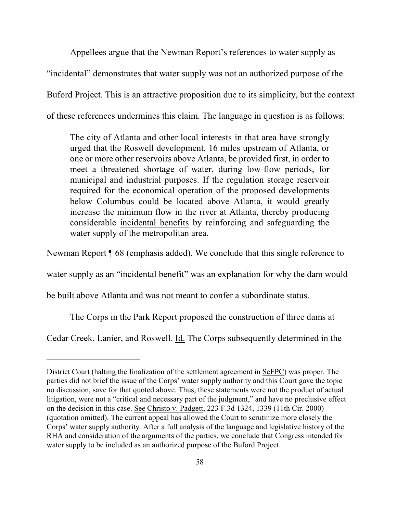Appellees argue that the Newman Report's references to water supply as "incidental" demonstrates that water supply was not an authorized purpose of the Buford Project. This is an attractive proposition due to its simplicity, but the context of these references undermines this claim. The language in question is as follows:

The city of Atlanta and other local interests in that area have strongly urged that the Roswell development, 16 miles upstream of Atlanta, or one or more other reservoirs above Atlanta, be provided first, in order to meet a threatened shortage of water, during low-flow periods, for municipal and industrial purposes. If the regulation storage reservoir required for the economical operation of the proposed developments below Columbus could be located above Atlanta, it would greatly increase the minimum flow in the river at Atlanta, thereby producing considerable incidental benefits by reinforcing and safeguarding the water supply of the metropolitan area.

Newman Report ¶ 68 (emphasis added). We conclude that this single reference to

water supply as an "incidental benefit" was an explanation for why the dam would

be built above Atlanta and was not meant to confer a subordinate status.

The Corps in the Park Report proposed the construction of three dams at

Cedar Creek, Lanier, and Roswell. Id. The Corps subsequently determined in the

District Court (halting the finalization of the settlement agreement in SeFPC) was proper. The parties did not brief the issue of the Corps' water supply authority and this Court gave the topic no discussion, save for that quoted above. Thus, these statements were not the product of actual litigation, were not a "critical and necessary part of the judgment," and have no preclusive effect on the decision in this case. See Christo v. Padgett, 223 F.3d 1324, 1339 (11th Cir. 2000) (quotation omitted). The current appeal has allowed the Court to scrutinize more closely the Corps' water supply authority. After a full analysis of the language and legislative history of the RHA and consideration of the arguments of the parties, we conclude that Congress intended for water supply to be included as an authorized purpose of the Buford Project.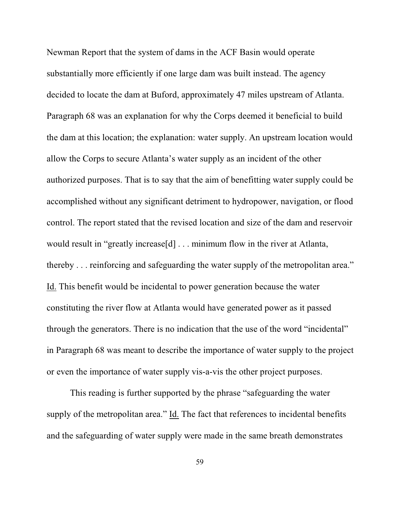Newman Report that the system of dams in the ACF Basin would operate substantially more efficiently if one large dam was built instead. The agency decided to locate the dam at Buford, approximately 47 miles upstream of Atlanta. Paragraph 68 was an explanation for why the Corps deemed it beneficial to build the dam at this location; the explanation: water supply. An upstream location would allow the Corps to secure Atlanta's water supply as an incident of the other authorized purposes. That is to say that the aim of benefitting water supply could be accomplished without any significant detriment to hydropower, navigation, or flood control. The report stated that the revised location and size of the dam and reservoir would result in "greatly increase[d] . . . minimum flow in the river at Atlanta, thereby . . . reinforcing and safeguarding the water supply of the metropolitan area." Id. This benefit would be incidental to power generation because the water constituting the river flow at Atlanta would have generated power as it passed through the generators. There is no indication that the use of the word "incidental" in Paragraph 68 was meant to describe the importance of water supply to the project or even the importance of water supply vis-a-vis the other project purposes.

This reading is further supported by the phrase "safeguarding the water supply of the metropolitan area." Id. The fact that references to incidental benefits and the safeguarding of water supply were made in the same breath demonstrates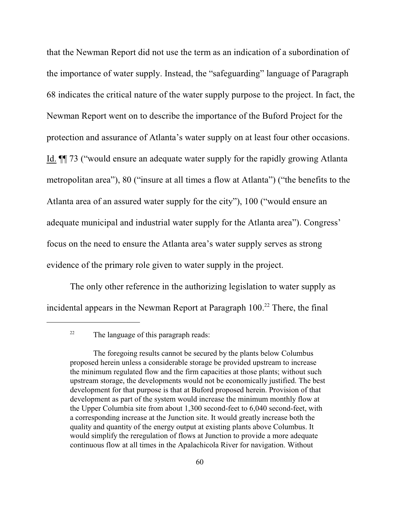that the Newman Report did not use the term as an indication of a subordination of the importance of water supply. Instead, the "safeguarding" language of Paragraph 68 indicates the critical nature of the water supply purpose to the project. In fact, the Newman Report went on to describe the importance of the Buford Project for the protection and assurance of Atlanta's water supply on at least four other occasions. Id. ¶¶ 73 ("would ensure an adequate water supply for the rapidly growing Atlanta metropolitan area"), 80 ("insure at all times a flow at Atlanta") ("the benefits to the Atlanta area of an assured water supply for the city"), 100 ("would ensure an adequate municipal and industrial water supply for the Atlanta area"). Congress' focus on the need to ensure the Atlanta area's water supply serves as strong evidence of the primary role given to water supply in the project.

The only other reference in the authorizing legislation to water supply as incidental appears in the Newman Report at Paragraph  $100.<sup>22</sup>$  There, the final

 $22$  The language of this paragraph reads:

The foregoing results cannot be secured by the plants below Columbus proposed herein unless a considerable storage be provided upstream to increase the minimum regulated flow and the firm capacities at those plants; without such upstream storage, the developments would not be economically justified. The best development for that purpose is that at Buford proposed herein. Provision of that development as part of the system would increase the minimum monthly flow at the Upper Columbia site from about 1,300 second-feet to 6,040 second-feet, with a corresponding increase at the Junction site. It would greatly increase both the quality and quantity of the energy output at existing plants above Columbus. It would simplify the reregulation of flows at Junction to provide a more adequate continuous flow at all times in the Apalachicola River for navigation. Without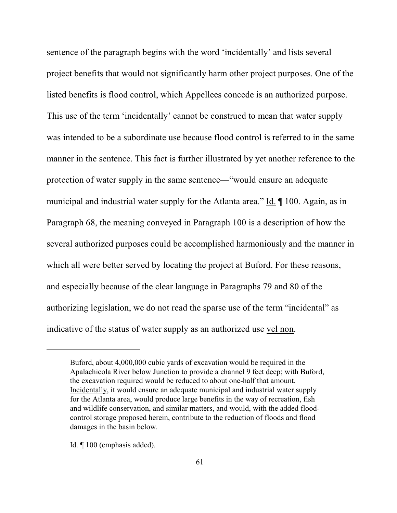sentence of the paragraph begins with the word 'incidentally' and lists several project benefits that would not significantly harm other project purposes. One of the listed benefits is flood control, which Appellees concede is an authorized purpose. This use of the term 'incidentally' cannot be construed to mean that water supply was intended to be a subordinate use because flood control is referred to in the same manner in the sentence. This fact is further illustrated by yet another reference to the protection of water supply in the same sentence—"would ensure an adequate municipal and industrial water supply for the Atlanta area." Id. ¶ 100. Again, as in Paragraph 68, the meaning conveyed in Paragraph 100 is a description of how the several authorized purposes could be accomplished harmoniously and the manner in which all were better served by locating the project at Buford. For these reasons, and especially because of the clear language in Paragraphs 79 and 80 of the authorizing legislation, we do not read the sparse use of the term "incidental" as indicative of the status of water supply as an authorized use vel non.

Id. ¶ 100 (emphasis added).

Buford, about 4,000,000 cubic yards of excavation would be required in the Apalachicola River below Junction to provide a channel 9 feet deep; with Buford, the excavation required would be reduced to about one-half that amount. Incidentally, it would ensure an adequate municipal and industrial water supply for the Atlanta area, would produce large benefits in the way of recreation, fish and wildlife conservation, and similar matters, and would, with the added floodcontrol storage proposed herein, contribute to the reduction of floods and flood damages in the basin below.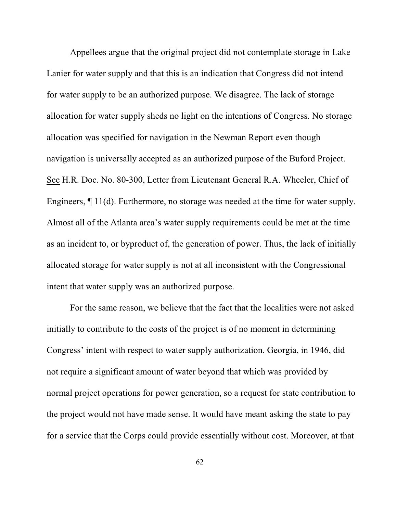Appellees argue that the original project did not contemplate storage in Lake Lanier for water supply and that this is an indication that Congress did not intend for water supply to be an authorized purpose. We disagree. The lack of storage allocation for water supply sheds no light on the intentions of Congress. No storage allocation was specified for navigation in the Newman Report even though navigation is universally accepted as an authorized purpose of the Buford Project. See H.R. Doc. No. 80-300, Letter from Lieutenant General R.A. Wheeler, Chief of Engineers, ¶ 11(d). Furthermore, no storage was needed at the time for water supply. Almost all of the Atlanta area's water supply requirements could be met at the time as an incident to, or byproduct of, the generation of power. Thus, the lack of initially allocated storage for water supply is not at all inconsistent with the Congressional intent that water supply was an authorized purpose.

For the same reason, we believe that the fact that the localities were not asked initially to contribute to the costs of the project is of no moment in determining Congress' intent with respect to water supply authorization. Georgia, in 1946, did not require a significant amount of water beyond that which was provided by normal project operations for power generation, so a request for state contribution to the project would not have made sense. It would have meant asking the state to pay for a service that the Corps could provide essentially without cost. Moreover, at that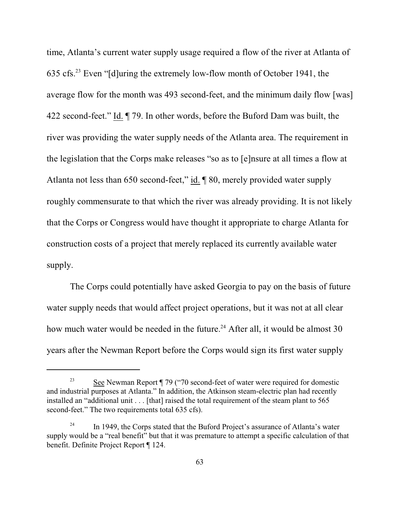time, Atlanta's current water supply usage required a flow of the river at Atlanta of 635 cfs.<sup>23</sup> Even "[d]uring the extremely low-flow month of October 1941, the average flow for the month was 493 second-feet, and the minimum daily flow [was] 422 second-feet." Id. ¶ 79. In other words, before the Buford Dam was built, the river was providing the water supply needs of the Atlanta area. The requirement in the legislation that the Corps make releases "so as to [e]nsure at all times a flow at Atlanta not less than 650 second-feet," id. ¶ 80, merely provided water supply roughly commensurate to that which the river was already providing. It is not likely that the Corps or Congress would have thought it appropriate to charge Atlanta for construction costs of a project that merely replaced its currently available water supply.

The Corps could potentially have asked Georgia to pay on the basis of future water supply needs that would affect project operations, but it was not at all clear how much water would be needed in the future.<sup>24</sup> After all, it would be almost 30 years after the Newman Report before the Corps would sign its first water supply

 $See$  Newman Report  $\P$  79 ("70 second-feet of water were required for domestic and industrial purposes at Atlanta." In addition, the Atkinson steam-electric plan had recently installed an "additional unit . . . [that] raised the total requirement of the steam plant to 565 second-feet." The two requirements total 635 cfs).

 $\frac{24}{10}$  In 1949, the Corps stated that the Buford Project's assurance of Atlanta's water supply would be a "real benefit" but that it was premature to attempt a specific calculation of that benefit. Definite Project Report ¶ 124.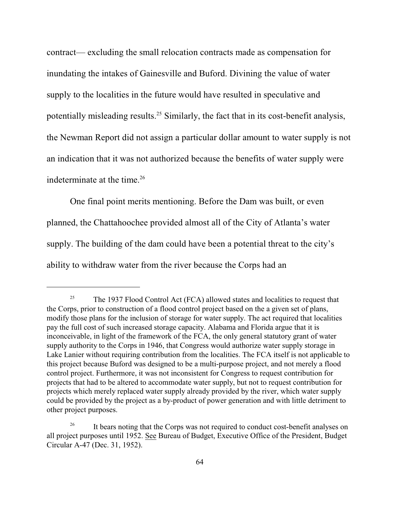contract— excluding the small relocation contracts made as compensation for inundating the intakes of Gainesville and Buford. Divining the value of water supply to the localities in the future would have resulted in speculative and potentially misleading results.<sup>25</sup> Similarly, the fact that in its cost-benefit analysis, the Newman Report did not assign a particular dollar amount to water supply is not an indication that it was not authorized because the benefits of water supply were indeterminate at the time.<sup>26</sup>

One final point merits mentioning. Before the Dam was built, or even planned, the Chattahoochee provided almost all of the City of Atlanta's water supply. The building of the dam could have been a potential threat to the city's ability to withdraw water from the river because the Corps had an

<sup>&</sup>lt;sup>25</sup> The 1937 Flood Control Act (FCA) allowed states and localities to request that the Corps, prior to construction of a flood control project based on the a given set of plans, modify those plans for the inclusion of storage for water supply. The act required that localities pay the full cost of such increased storage capacity. Alabama and Florida argue that it is inconceivable, in light of the framework of the FCA, the only general statutory grant of water supply authority to the Corps in 1946, that Congress would authorize water supply storage in Lake Lanier without requiring contribution from the localities. The FCA itself is not applicable to this project because Buford was designed to be a multi-purpose project, and not merely a flood control project. Furthermore, it was not inconsistent for Congress to request contribution for projects that had to be altered to accommodate water supply, but not to request contribution for projects which merely replaced water supply already provided by the river, which water supply could be provided by the project as a by-product of power generation and with little detriment to other project purposes.

<sup>&</sup>lt;sup>26</sup> It bears noting that the Corps was not required to conduct cost-benefit analyses on all project purposes until 1952. See Bureau of Budget, Executive Office of the President, Budget Circular A-47 (Dec. 31, 1952).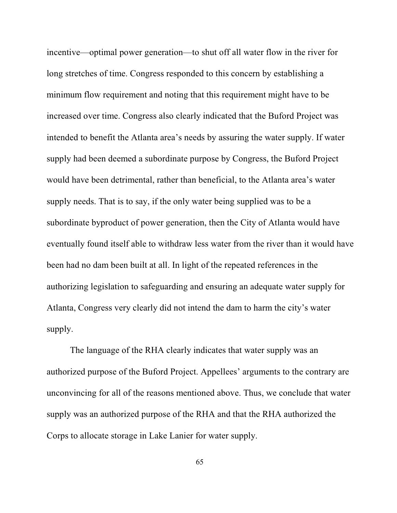incentive—optimal power generation—to shut off all water flow in the river for long stretches of time. Congress responded to this concern by establishing a minimum flow requirement and noting that this requirement might have to be increased over time. Congress also clearly indicated that the Buford Project was intended to benefit the Atlanta area's needs by assuring the water supply. If water supply had been deemed a subordinate purpose by Congress, the Buford Project would have been detrimental, rather than beneficial, to the Atlanta area's water supply needs. That is to say, if the only water being supplied was to be a subordinate byproduct of power generation, then the City of Atlanta would have eventually found itself able to withdraw less water from the river than it would have been had no dam been built at all. In light of the repeated references in the authorizing legislation to safeguarding and ensuring an adequate water supply for Atlanta, Congress very clearly did not intend the dam to harm the city's water supply.

The language of the RHA clearly indicates that water supply was an authorized purpose of the Buford Project. Appellees' arguments to the contrary are unconvincing for all of the reasons mentioned above. Thus, we conclude that water supply was an authorized purpose of the RHA and that the RHA authorized the Corps to allocate storage in Lake Lanier for water supply.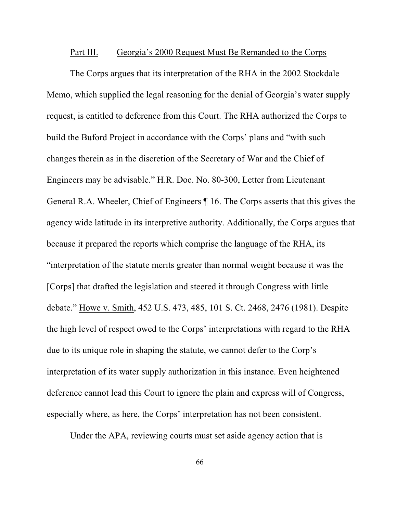## Part III. Georgia's 2000 Request Must Be Remanded to the Corps

The Corps argues that its interpretation of the RHA in the 2002 Stockdale Memo, which supplied the legal reasoning for the denial of Georgia's water supply request, is entitled to deference from this Court. The RHA authorized the Corps to build the Buford Project in accordance with the Corps' plans and "with such changes therein as in the discretion of the Secretary of War and the Chief of Engineers may be advisable." H.R. Doc. No. 80-300, Letter from Lieutenant General R.A. Wheeler, Chief of Engineers ¶ 16. The Corps asserts that this gives the agency wide latitude in its interpretive authority. Additionally, the Corps argues that because it prepared the reports which comprise the language of the RHA, its "interpretation of the statute merits greater than normal weight because it was the [Corps] that drafted the legislation and steered it through Congress with little debate." Howe v. Smith, 452 U.S. 473, 485, 101 S. Ct. 2468, 2476 (1981). Despite the high level of respect owed to the Corps' interpretations with regard to the RHA due to its unique role in shaping the statute, we cannot defer to the Corp's interpretation of its water supply authorization in this instance. Even heightened deference cannot lead this Court to ignore the plain and express will of Congress, especially where, as here, the Corps' interpretation has not been consistent.

Under the APA, reviewing courts must set aside agency action that is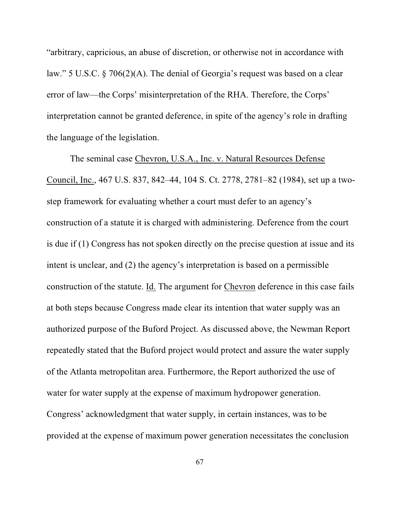"arbitrary, capricious, an abuse of discretion, or otherwise not in accordance with law." 5 U.S.C. § 706(2)(A). The denial of Georgia's request was based on a clear error of law—the Corps' misinterpretation of the RHA. Therefore, the Corps' interpretation cannot be granted deference, in spite of the agency's role in drafting the language of the legislation.

The seminal case Chevron, U.S.A., Inc. v. Natural Resources Defense Council, Inc., 467 U.S. 837, 842–44, 104 S. Ct. 2778, 2781–82 (1984), set up a twostep framework for evaluating whether a court must defer to an agency's construction of a statute it is charged with administering. Deference from the court is due if (1) Congress has not spoken directly on the precise question at issue and its intent is unclear, and (2) the agency's interpretation is based on a permissible construction of the statute. Id. The argument for Chevron deference in this case fails at both steps because Congress made clear its intention that water supply was an authorized purpose of the Buford Project. As discussed above, the Newman Report repeatedly stated that the Buford project would protect and assure the water supply of the Atlanta metropolitan area. Furthermore, the Report authorized the use of water for water supply at the expense of maximum hydropower generation. Congress' acknowledgment that water supply, in certain instances, was to be provided at the expense of maximum power generation necessitates the conclusion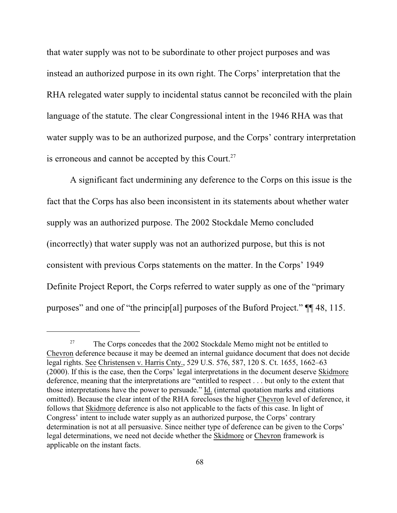that water supply was not to be subordinate to other project purposes and was instead an authorized purpose in its own right. The Corps' interpretation that the RHA relegated water supply to incidental status cannot be reconciled with the plain language of the statute. The clear Congressional intent in the 1946 RHA was that water supply was to be an authorized purpose, and the Corps' contrary interpretation is erroneous and cannot be accepted by this Court.<sup>27</sup>

A significant fact undermining any deference to the Corps on this issue is the fact that the Corps has also been inconsistent in its statements about whether water supply was an authorized purpose. The 2002 Stockdale Memo concluded (incorrectly) that water supply was not an authorized purpose, but this is not consistent with previous Corps statements on the matter. In the Corps' 1949 Definite Project Report, the Corps referred to water supply as one of the "primary purposes" and one of "the princip[al] purposes of the Buford Project." ¶¶ 48, 115.

 $T^{27}$  The Corps concedes that the 2002 Stockdale Memo might not be entitled to Chevron deference because it may be deemed an internal guidance document that does not decide legal rights. See Christensen v. Harris Cnty., 529 U.S. 576, 587, 120 S. Ct. 1655, 1662–63 (2000). If this is the case, then the Corps' legal interpretations in the document deserve Skidmore deference, meaning that the interpretations are "entitled to respect . . . but only to the extent that those interpretations have the power to persuade." Id. (internal quotation marks and citations omitted). Because the clear intent of the RHA forecloses the higher Chevron level of deference, it follows that Skidmore deference is also not applicable to the facts of this case. In light of Congress' intent to include water supply as an authorized purpose, the Corps' contrary determination is not at all persuasive. Since neither type of deference can be given to the Corps' legal determinations, we need not decide whether the Skidmore or Chevron framework is applicable on the instant facts.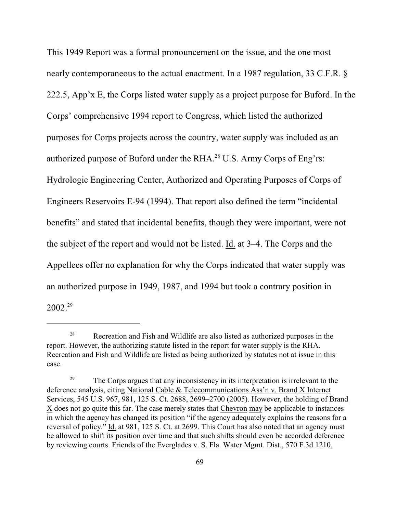This 1949 Report was a formal pronouncement on the issue, and the one most nearly contemporaneous to the actual enactment. In a 1987 regulation, 33 C.F.R. § 222.5, App'x E, the Corps listed water supply as a project purpose for Buford. In the Corps' comprehensive 1994 report to Congress, which listed the authorized purposes for Corps projects across the country, water supply was included as an authorized purpose of Buford under the RHA.<sup>28</sup> U.S. Army Corps of Eng'rs: Hydrologic Engineering Center, Authorized and Operating Purposes of Corps of Engineers Reservoirs E-94 (1994). That report also defined the term "incidental benefits" and stated that incidental benefits, though they were important, were not the subject of the report and would not be listed. Id. at 3–4. The Corps and the Appellees offer no explanation for why the Corps indicated that water supply was an authorized purpose in 1949, 1987, and 1994 but took a contrary position in 2002. 29

<sup>&</sup>lt;sup>28</sup> Recreation and Fish and Wildlife are also listed as authorized purposes in the report. However, the authorizing statute listed in the report for water supply is the RHA. Recreation and Fish and Wildlife are listed as being authorized by statutes not at issue in this case.

<sup>&</sup>lt;sup>29</sup> The Corps argues that any inconsistency in its interpretation is irrelevant to the deference analysis, citing National Cable & Telecommunications Ass'n v. Brand X Internet Services, 545 U.S. 967, 981, 125 S. Ct. 2688, 2699–2700 (2005). However, the holding of Brand X does not go quite this far. The case merely states that Chevron may be applicable to instances in which the agency has changed its position "if the agency adequately explains the reasons for a reversal of policy." Id. at 981, 125 S. Ct. at 2699. This Court has also noted that an agency must be allowed to shift its position over time and that such shifts should even be accorded deference by reviewing courts. Friends of the Everglades v. S. Fla. Water Mgmt. Dist., 570 F.3d 1210,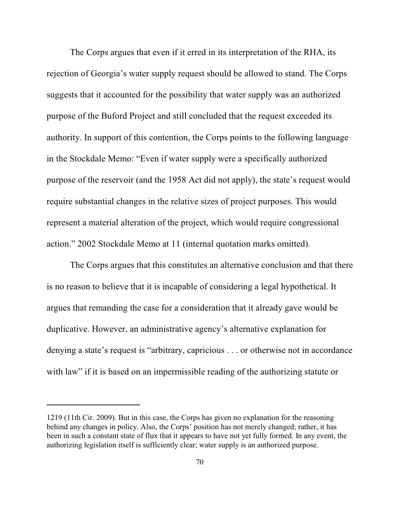The Corps argues that even if it erred in its interpretation of the RHA, its rejection of Georgia's water supply request should be allowed to stand. The Corps suggests that it accounted for the possibility that water supply was an authorized purpose of the Buford Project and still concluded that the request exceeded its authority. In support of this contention, the Corps points to the following language in the Stockdale Memo: "Even if water supply were a specifically authorized purpose of the reservoir (and the 1958 Act did not apply), the state's request would require substantial changes in the relative sizes of project purposes. This would represent a material alteration of the project, which would require congressional action." 2002 Stockdale Memo at 11 (internal quotation marks omitted).

The Corps argues that this constitutes an alternative conclusion and that there is no reason to believe that it is incapable of considering a legal hypothetical. It argues that remanding the case for a consideration that it already gave would be duplicative. However, an administrative agency's alternative explanation for denying a state's request is "arbitrary, capricious . . . or otherwise not in accordance with law" if it is based on an impermissible reading of the authorizing statute or

<sup>1219 (11</sup>th Cir. 2009). But in this case, the Corps has given no explanation for the reasoning behind any changes in policy. Also, the Corps' position has not merely changed; rather, it has been in such a constant state of flux that it appears to have not yet fully formed. In any event, the authorizing legislation itself is sufficiently clear; water supply is an authorized purpose.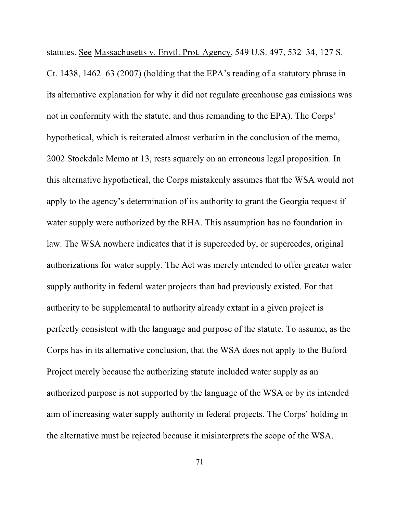statutes. See Massachusetts v. Envtl. Prot. Agency, 549 U.S. 497, 532–34, 127 S. Ct. 1438, 1462–63 (2007) (holding that the EPA's reading of a statutory phrase in its alternative explanation for why it did not regulate greenhouse gas emissions was not in conformity with the statute, and thus remanding to the EPA). The Corps' hypothetical, which is reiterated almost verbatim in the conclusion of the memo, 2002 Stockdale Memo at 13, rests squarely on an erroneous legal proposition. In this alternative hypothetical, the Corps mistakenly assumes that the WSA would not apply to the agency's determination of its authority to grant the Georgia request if water supply were authorized by the RHA. This assumption has no foundation in law. The WSA nowhere indicates that it is superceded by, or supercedes, original authorizations for water supply. The Act was merely intended to offer greater water supply authority in federal water projects than had previously existed. For that authority to be supplemental to authority already extant in a given project is perfectly consistent with the language and purpose of the statute. To assume, as the Corps has in its alternative conclusion, that the WSA does not apply to the Buford Project merely because the authorizing statute included water supply as an authorized purpose is not supported by the language of the WSA or by its intended aim of increasing water supply authority in federal projects. The Corps' holding in the alternative must be rejected because it misinterprets the scope of the WSA.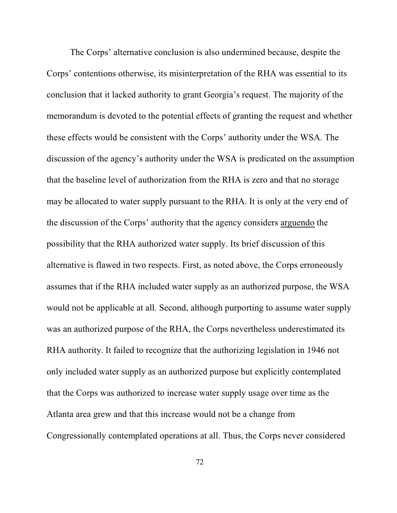The Corps' alternative conclusion is also undermined because, despite the Corps' contentions otherwise, its misinterpretation of the RHA was essential to its conclusion that it lacked authority to grant Georgia's request. The majority of the memorandum is devoted to the potential effects of granting the request and whether these effects would be consistent with the Corps' authority under the WSA. The discussion of the agency's authority under the WSA is predicated on the assumption that the baseline level of authorization from the RHA is zero and that no storage may be allocated to water supply pursuant to the RHA. It is only at the very end of the discussion of the Corps' authority that the agency considers arguendo the possibility that the RHA authorized water supply. Its brief discussion of this alternative is flawed in two respects. First, as noted above, the Corps erroneously assumes that if the RHA included water supply as an authorized purpose, the WSA would not be applicable at all. Second, although purporting to assume water supply was an authorized purpose of the RHA, the Corps nevertheless underestimated its RHA authority. It failed to recognize that the authorizing legislation in 1946 not only included water supply as an authorized purpose but explicitly contemplated that the Corps was authorized to increase water supply usage over time as the Atlanta area grew and that this increase would not be a change from Congressionally contemplated operations at all. Thus, the Corps never considered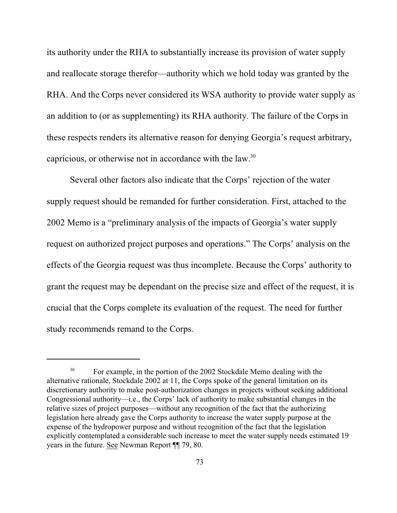its authority under the RHA to substantially increase its provision of water supply and reallocate storage therefor—authority which we hold today was granted by the RHA. And the Corps never considered its WSA authority to provide water supply as an addition to (or as supplementing) its RHA authority. The failure of the Corps in these respects renders its alternative reason for denying Georgia's request arbitrary, capricious, or otherwise not in accordance with the law.<sup>30</sup>

Several other factors also indicate that the Corps' rejection of the water supply request should be remanded for further consideration. First, attached to the 2002 Memo is a "preliminary analysis of the impacts of Georgia's water supply request on authorized project purposes and operations." The Corps' analysis on the effects of the Georgia request was thus incomplete. Because the Corps' authority to grant the request may be dependant on the precise size and effect of the request, it is crucial that the Corps complete its evaluation of the request. The need for further study recommends remand to the Corps.

<sup>&</sup>lt;sup>30</sup> For example, in the portion of the 2002 Stockdale Memo dealing with the alternative rationale, Stockdale 2002 at 11, the Corps spoke of the general limitation on its discretionary authority to make post-authorization changes in projects without seeking additional Congressional authority—i.e., the Corps' lack of authority to make substantial changes in the relative sizes of project purposes—without any recognition of the fact that the authorizing legislation here already gave the Corps authority to increase the water supply purpose at the expense of the hydropower purpose and without recognition of the fact that the legislation explicitly contemplated a considerable such increase to meet the water supply needs estimated 19 years in the future. See Newman Report ¶¶ 79, 80.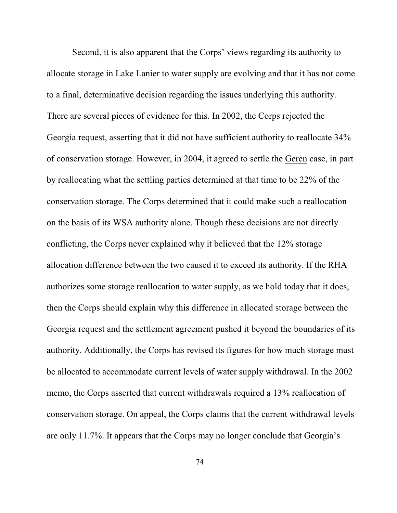Second, it is also apparent that the Corps' views regarding its authority to allocate storage in Lake Lanier to water supply are evolving and that it has not come to a final, determinative decision regarding the issues underlying this authority. There are several pieces of evidence for this. In 2002, the Corps rejected the Georgia request, asserting that it did not have sufficient authority to reallocate 34% of conservation storage. However, in 2004, it agreed to settle the Geren case, in part by reallocating what the settling parties determined at that time to be 22% of the conservation storage. The Corps determined that it could make such a reallocation on the basis of its WSA authority alone. Though these decisions are not directly conflicting, the Corps never explained why it believed that the 12% storage allocation difference between the two caused it to exceed its authority. If the RHA authorizes some storage reallocation to water supply, as we hold today that it does, then the Corps should explain why this difference in allocated storage between the Georgia request and the settlement agreement pushed it beyond the boundaries of its authority. Additionally, the Corps has revised its figures for how much storage must be allocated to accommodate current levels of water supply withdrawal. In the 2002 memo, the Corps asserted that current withdrawals required a 13% reallocation of conservation storage. On appeal, the Corps claims that the current withdrawal levels are only 11.7%. It appears that the Corps may no longer conclude that Georgia's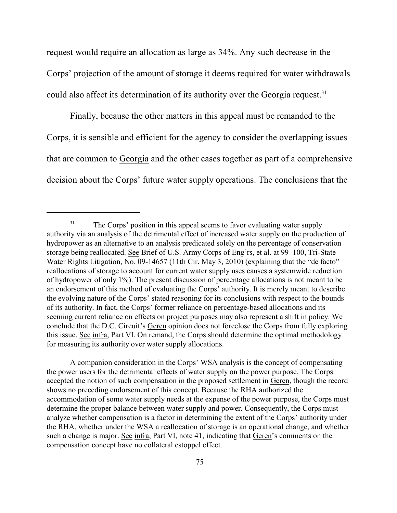request would require an allocation as large as 34%. Any such decrease in the Corps' projection of the amount of storage it deems required for water withdrawals could also affect its determination of its authority over the Georgia request.<sup>31</sup>

Finally, because the other matters in this appeal must be remanded to the Corps, it is sensible and efficient for the agency to consider the overlapping issues that are common to Georgia and the other cases together as part of a comprehensive decision about the Corps' future water supply operations. The conclusions that the

A companion consideration in the Corps' WSA analysis is the concept of compensating the power users for the detrimental effects of water supply on the power purpose. The Corps accepted the notion of such compensation in the proposed settlement in Geren, though the record shows no preceding endorsement of this concept. Because the RHA authorized the accommodation of some water supply needs at the expense of the power purpose, the Corps must determine the proper balance between water supply and power. Consequently, the Corps must analyze whether compensation is a factor in determining the extent of the Corps' authority under the RHA, whether under the WSA a reallocation of storage is an operational change, and whether such a change is major. See infra, Part VI, note 41, indicating that Geren's comments on the compensation concept have no collateral estoppel effect.

<sup>&</sup>lt;sup>31</sup> The Corps' position in this appeal seems to favor evaluating water supply authority via an analysis of the detrimental effect of increased water supply on the production of hydropower as an alternative to an analysis predicated solely on the percentage of conservation storage being reallocated. See Brief of U.S. Army Corps of Eng'rs, et al. at 99–100, Tri-State Water Rights Litigation, No. 09-14657 (11th Cir. May 3, 2010) (explaining that the "de facto" reallocations of storage to account for current water supply uses causes a systemwide reduction of hydropower of only 1%). The present discussion of percentage allocations is not meant to be an endorsement of this method of evaluating the Corps' authority. It is merely meant to describe the evolving nature of the Corps' stated reasoning for its conclusions with respect to the bounds of its authority. In fact, the Corps' former reliance on percentage-based allocations and its seeming current reliance on effects on project purposes may also represent a shift in policy. We conclude that the D.C. Circuit's Geren opinion does not foreclose the Corps from fully exploring this issue. See infra, Part VI. On remand, the Corps should determine the optimal methodology for measuring its authority over water supply allocations.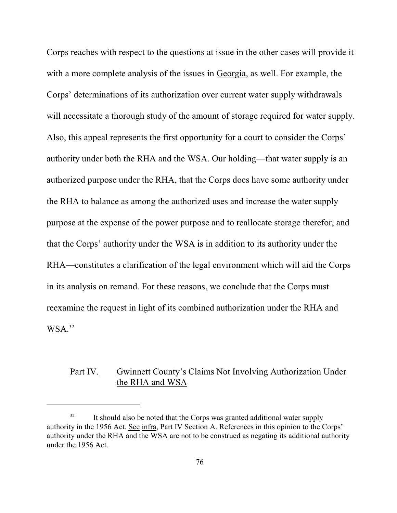Corps reaches with respect to the questions at issue in the other cases will provide it with a more complete analysis of the issues in Georgia, as well. For example, the Corps' determinations of its authorization over current water supply withdrawals will necessitate a thorough study of the amount of storage required for water supply. Also, this appeal represents the first opportunity for a court to consider the Corps' authority under both the RHA and the WSA. Our holding—that water supply is an authorized purpose under the RHA, that the Corps does have some authority under the RHA to balance as among the authorized uses and increase the water supply purpose at the expense of the power purpose and to reallocate storage therefor, and that the Corps' authority under the WSA is in addition to its authority under the RHA—constitutes a clarification of the legal environment which will aid the Corps in its analysis on remand. For these reasons, we conclude that the Corps must reexamine the request in light of its combined authorization under the RHA and  $WSA<sup>32</sup>$ 

## Part IV. Gwinnett County's Claims Not Involving Authorization Under the RHA and WSA

 $11$  is should also be noted that the Corps was granted additional water supply authority in the 1956 Act. See infra, Part IV Section A. References in this opinion to the Corps' authority under the RHA and the WSA are not to be construed as negating its additional authority under the 1956 Act.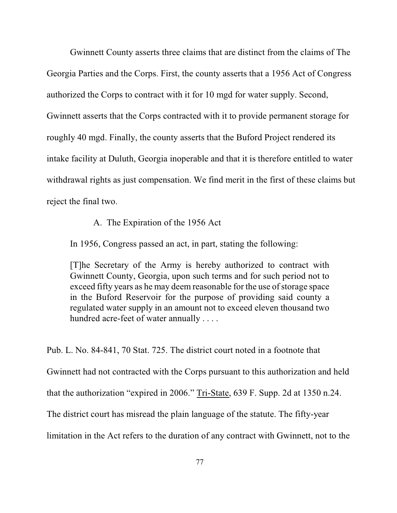Gwinnett County asserts three claims that are distinct from the claims of The Georgia Parties and the Corps. First, the county asserts that a 1956 Act of Congress authorized the Corps to contract with it for 10 mgd for water supply. Second, Gwinnett asserts that the Corps contracted with it to provide permanent storage for roughly 40 mgd. Finally, the county asserts that the Buford Project rendered its intake facility at Duluth, Georgia inoperable and that it is therefore entitled to water withdrawal rights as just compensation. We find merit in the first of these claims but reject the final two.

## A. The Expiration of the 1956 Act

In 1956, Congress passed an act, in part, stating the following:

[T]he Secretary of the Army is hereby authorized to contract with Gwinnett County, Georgia, upon such terms and for such period not to exceed fifty years as he may deem reasonable for the use of storage space in the Buford Reservoir for the purpose of providing said county a regulated water supply in an amount not to exceed eleven thousand two hundred acre-feet of water annually . . . .

Pub. L. No. 84-841, 70 Stat. 725. The district court noted in a footnote that Gwinnett had not contracted with the Corps pursuant to this authorization and held that the authorization "expired in 2006." Tri-State, 639 F. Supp. 2d at 1350 n.24. The district court has misread the plain language of the statute. The fifty-year limitation in the Act refers to the duration of any contract with Gwinnett, not to the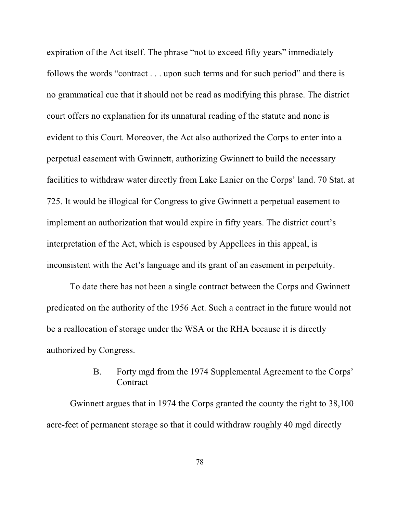expiration of the Act itself. The phrase "not to exceed fifty years" immediately follows the words "contract . . . upon such terms and for such period" and there is no grammatical cue that it should not be read as modifying this phrase. The district court offers no explanation for its unnatural reading of the statute and none is evident to this Court. Moreover, the Act also authorized the Corps to enter into a perpetual easement with Gwinnett, authorizing Gwinnett to build the necessary facilities to withdraw water directly from Lake Lanier on the Corps' land. 70 Stat. at 725. It would be illogical for Congress to give Gwinnett a perpetual easement to implement an authorization that would expire in fifty years. The district court's interpretation of the Act, which is espoused by Appellees in this appeal, is inconsistent with the Act's language and its grant of an easement in perpetuity.

To date there has not been a single contract between the Corps and Gwinnett predicated on the authority of the 1956 Act. Such a contract in the future would not be a reallocation of storage under the WSA or the RHA because it is directly authorized by Congress.

# B. Forty mgd from the 1974 Supplemental Agreement to the Corps' **Contract**

Gwinnett argues that in 1974 the Corps granted the county the right to 38,100 acre-feet of permanent storage so that it could withdraw roughly 40 mgd directly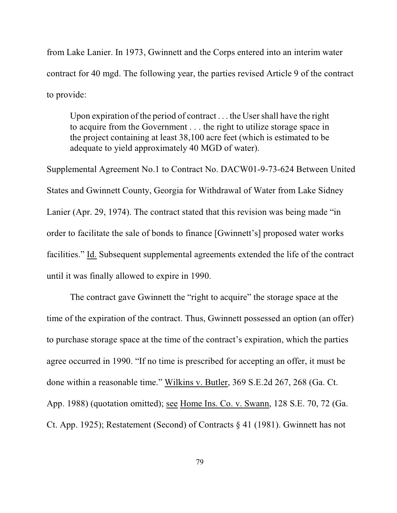from Lake Lanier. In 1973, Gwinnett and the Corps entered into an interim water contract for 40 mgd. The following year, the parties revised Article 9 of the contract to provide:

Upon expiration of the period of contract . . . the User shall have the right to acquire from the Government . . . the right to utilize storage space in the project containing at least 38,100 acre feet (which is estimated to be adequate to yield approximately 40 MGD of water).

Supplemental Agreement No.1 to Contract No. DACW01-9-73-624 Between United States and Gwinnett County, Georgia for Withdrawal of Water from Lake Sidney Lanier (Apr. 29, 1974). The contract stated that this revision was being made "in order to facilitate the sale of bonds to finance [Gwinnett's] proposed water works facilities." Id. Subsequent supplemental agreements extended the life of the contract until it was finally allowed to expire in 1990.

The contract gave Gwinnett the "right to acquire" the storage space at the time of the expiration of the contract. Thus, Gwinnett possessed an option (an offer) to purchase storage space at the time of the contract's expiration, which the parties agree occurred in 1990. "If no time is prescribed for accepting an offer, it must be done within a reasonable time." Wilkins v. Butler, 369 S.E.2d 267, 268 (Ga. Ct. App. 1988) (quotation omitted); see Home Ins. Co. v. Swann, 128 S.E. 70, 72 (Ga. Ct. App. 1925); Restatement (Second) of Contracts § 41 (1981). Gwinnett has not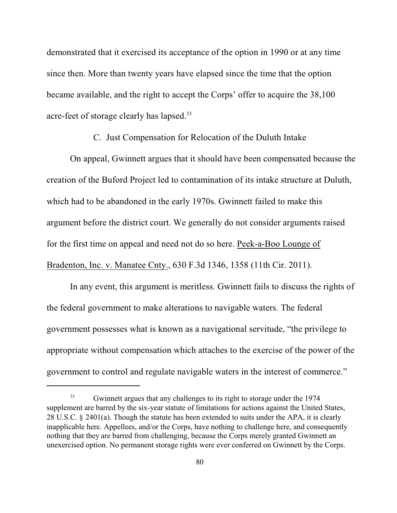demonstrated that it exercised its acceptance of the option in 1990 or at any time since then. More than twenty years have elapsed since the time that the option became available, and the right to accept the Corps' offer to acquire the 38,100 acre-feet of storage clearly has lapsed.<sup>33</sup>

#### C. Just Compensation for Relocation of the Duluth Intake

On appeal, Gwinnett argues that it should have been compensated because the creation of the Buford Project led to contamination of its intake structure at Duluth, which had to be abandoned in the early 1970s. Gwinnett failed to make this argument before the district court. We generally do not consider arguments raised for the first time on appeal and need not do so here. Peek-a-Boo Lounge of Bradenton, Inc. v. Manatee Cnty., 630 F.3d 1346, 1358 (11th Cir. 2011).

In any event, this argument is meritless. Gwinnett fails to discuss the rights of the federal government to make alterations to navigable waters. The federal government possesses what is known as a navigational servitude, "the privilege to appropriate without compensation which attaches to the exercise of the power of the government to control and regulate navigable waters in the interest of commerce."

<sup>&</sup>lt;sup>33</sup> Gwinnett argues that any challenges to its right to storage under the 1974 supplement are barred by the six-year statute of limitations for actions against the United States, 28 U.S.C. § 2401(a). Though the statute has been extended to suits under the APA, it is clearly inapplicable here. Appellees, and/or the Corps, have nothing to challenge here, and consequently nothing that they are barred from challenging, because the Corps merely granted Gwinnett an unexercised option. No permanent storage rights were ever conferred on Gwinnett by the Corps.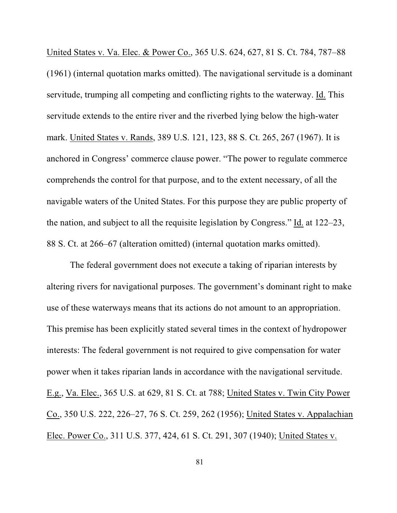United States v. Va. Elec. & Power Co., 365 U.S. 624, 627, 81 S. Ct. 784, 787–88 (1961) (internal quotation marks omitted). The navigational servitude is a dominant servitude, trumping all competing and conflicting rights to the waterway. Id. This servitude extends to the entire river and the riverbed lying below the high-water mark. United States v. Rands, 389 U.S. 121, 123, 88 S. Ct. 265, 267 (1967). It is anchored in Congress' commerce clause power. "The power to regulate commerce comprehends the control for that purpose, and to the extent necessary, of all the navigable waters of the United States. For this purpose they are public property of the nation, and subject to all the requisite legislation by Congress." Id. at 122–23, 88 S. Ct. at 266–67 (alteration omitted) (internal quotation marks omitted).

The federal government does not execute a taking of riparian interests by altering rivers for navigational purposes. The government's dominant right to make use of these waterways means that its actions do not amount to an appropriation. This premise has been explicitly stated several times in the context of hydropower interests: The federal government is not required to give compensation for water power when it takes riparian lands in accordance with the navigational servitude. E.g., Va. Elec., 365 U.S. at 629, 81 S. Ct. at 788; United States v. Twin City Power Co., 350 U.S. 222, 226–27, 76 S. Ct. 259, 262 (1956); United States v. Appalachian Elec. Power Co., 311 U.S. 377, 424, 61 S. Ct. 291, 307 (1940); United States v.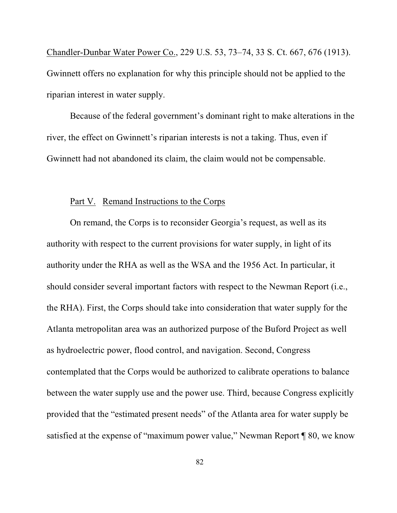Chandler-Dunbar Water Power Co., 229 U.S. 53, 73–74, 33 S. Ct. 667, 676 (1913). Gwinnett offers no explanation for why this principle should not be applied to the riparian interest in water supply.

Because of the federal government's dominant right to make alterations in the river, the effect on Gwinnett's riparian interests is not a taking. Thus, even if Gwinnett had not abandoned its claim, the claim would not be compensable.

#### Part V. Remand Instructions to the Corps

On remand, the Corps is to reconsider Georgia's request, as well as its authority with respect to the current provisions for water supply, in light of its authority under the RHA as well as the WSA and the 1956 Act. In particular, it should consider several important factors with respect to the Newman Report (i.e., the RHA). First, the Corps should take into consideration that water supply for the Atlanta metropolitan area was an authorized purpose of the Buford Project as well as hydroelectric power, flood control, and navigation. Second, Congress contemplated that the Corps would be authorized to calibrate operations to balance between the water supply use and the power use. Third, because Congress explicitly provided that the "estimated present needs" of the Atlanta area for water supply be satisfied at the expense of "maximum power value," Newman Report ¶ 80, we know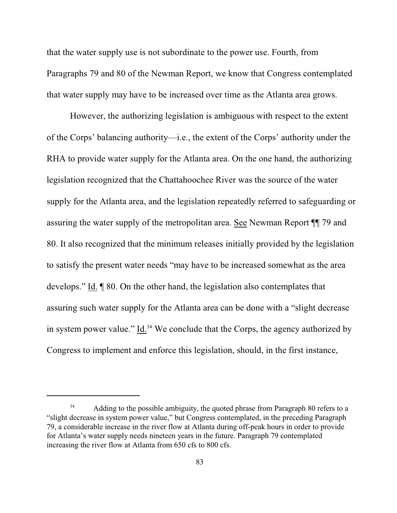that the water supply use is not subordinate to the power use. Fourth, from Paragraphs 79 and 80 of the Newman Report, we know that Congress contemplated that water supply may have to be increased over time as the Atlanta area grows.

However, the authorizing legislation is ambiguous with respect to the extent of the Corps' balancing authority—i.e., the extent of the Corps' authority under the RHA to provide water supply for the Atlanta area. On the one hand, the authorizing legislation recognized that the Chattahoochee River was the source of the water supply for the Atlanta area, and the legislation repeatedly referred to safeguarding or assuring the water supply of the metropolitan area. See Newman Report ¶¶ 79 and 80. It also recognized that the minimum releases initially provided by the legislation to satisfy the present water needs "may have to be increased somewhat as the area develops." Id. ¶ 80. On the other hand, the legislation also contemplates that assuring such water supply for the Atlanta area can be done with a "slight decrease in system power value." Id. $34$  We conclude that the Corps, the agency authorized by Congress to implement and enforce this legislation, should, in the first instance,

<sup>&</sup>lt;sup>34</sup> Adding to the possible ambiguity, the quoted phrase from Paragraph 80 refers to a "slight decrease in system power value," but Congress contemplated, in the preceding Paragraph 79, a considerable increase in the river flow at Atlanta during off-peak hours in order to provide for Atlanta's water supply needs nineteen years in the future. Paragraph 79 contemplated increasing the river flow at Atlanta from 650 cfs to 800 cfs.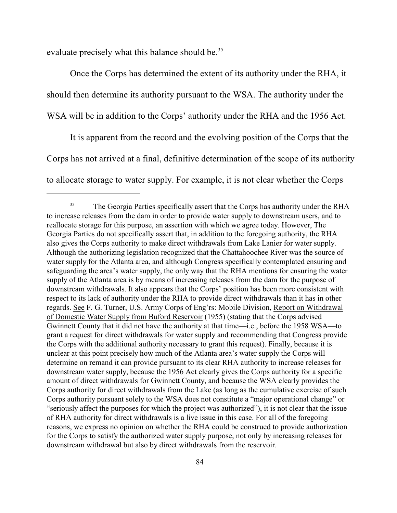evaluate precisely what this balance should be.<sup>35</sup>

Once the Corps has determined the extent of its authority under the RHA, it should then determine its authority pursuant to the WSA. The authority under the WSA will be in addition to the Corps' authority under the RHA and the 1956 Act.

It is apparent from the record and the evolving position of the Corps that the Corps has not arrived at a final, definitive determination of the scope of its authority to allocate storage to water supply. For example, it is not clear whether the Corps

<sup>&</sup>lt;sup>35</sup> The Georgia Parties specifically assert that the Corps has authority under the RHA to increase releases from the dam in order to provide water supply to downstream users, and to reallocate storage for this purpose, an assertion with which we agree today. However, The Georgia Parties do not specifically assert that, in addition to the foregoing authority, the RHA also gives the Corps authority to make direct withdrawals from Lake Lanier for water supply. Although the authorizing legislation recognized that the Chattahoochee River was the source of water supply for the Atlanta area, and although Congress specifically contemplated ensuring and safeguarding the area's water supply, the only way that the RHA mentions for ensuring the water supply of the Atlanta area is by means of increasing releases from the dam for the purpose of downstream withdrawals. It also appears that the Corps' position has been more consistent with respect to its lack of authority under the RHA to provide direct withdrawals than it has in other regards. See F. G. Turner, U.S. Army Corps of Eng'rs: Mobile Division, Report on Withdrawal of Domestic Water Supply from Buford Reservoir (1955) (stating that the Corps advised Gwinnett County that it did not have the authority at that time—i.e., before the 1958 WSA—to grant a request for direct withdrawals for water supply and recommending that Congress provide the Corps with the additional authority necessary to grant this request). Finally, because it is unclear at this point precisely how much of the Atlanta area's water supply the Corps will determine on remand it can provide pursuant to its clear RHA authority to increase releases for downstream water supply, because the 1956 Act clearly gives the Corps authority for a specific amount of direct withdrawals for Gwinnett County, and because the WSA clearly provides the Corps authority for direct withdrawals from the Lake (as long as the cumulative exercise of such Corps authority pursuant solely to the WSA does not constitute a "major operational change" or "seriously affect the purposes for which the project was authorized"), it is not clear that the issue of RHA authority for direct withdrawals is a live issue in this case. For all of the foregoing reasons, we express no opinion on whether the RHA could be construed to provide authorization for the Corps to satisfy the authorized water supply purpose, not only by increasing releases for downstream withdrawal but also by direct withdrawals from the reservoir.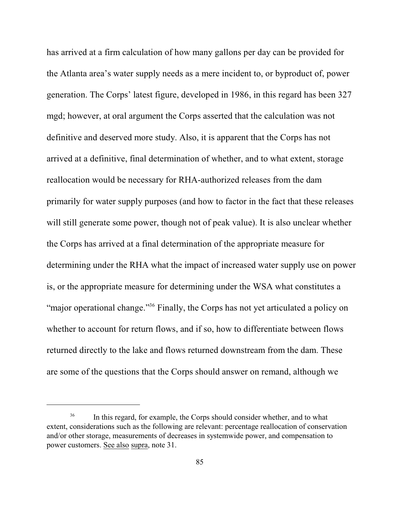has arrived at a firm calculation of how many gallons per day can be provided for the Atlanta area's water supply needs as a mere incident to, or byproduct of, power generation. The Corps' latest figure, developed in 1986, in this regard has been 327 mgd; however, at oral argument the Corps asserted that the calculation was not definitive and deserved more study. Also, it is apparent that the Corps has not arrived at a definitive, final determination of whether, and to what extent, storage reallocation would be necessary for RHA-authorized releases from the dam primarily for water supply purposes (and how to factor in the fact that these releases will still generate some power, though not of peak value). It is also unclear whether the Corps has arrived at a final determination of the appropriate measure for determining under the RHA what the impact of increased water supply use on power is, or the appropriate measure for determining under the WSA what constitutes a "major operational change."<sup>36</sup> Finally, the Corps has not yet articulated a policy on whether to account for return flows, and if so, how to differentiate between flows returned directly to the lake and flows returned downstream from the dam. These are some of the questions that the Corps should answer on remand, although we

<sup>&</sup>lt;sup>36</sup> In this regard, for example, the Corps should consider whether, and to what extent, considerations such as the following are relevant: percentage reallocation of conservation and/or other storage, measurements of decreases in systemwide power, and compensation to power customers. See also supra, note 31.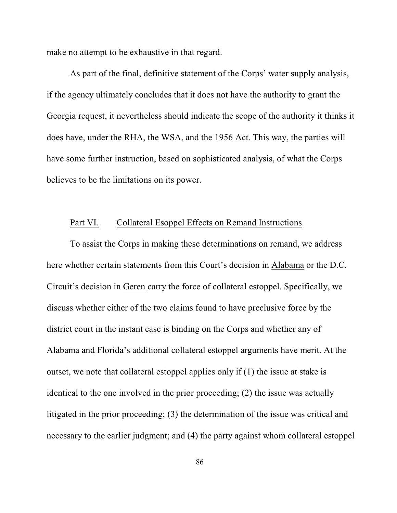make no attempt to be exhaustive in that regard.

As part of the final, definitive statement of the Corps' water supply analysis, if the agency ultimately concludes that it does not have the authority to grant the Georgia request, it nevertheless should indicate the scope of the authority it thinks it does have, under the RHA, the WSA, and the 1956 Act. This way, the parties will have some further instruction, based on sophisticated analysis, of what the Corps believes to be the limitations on its power.

### Part VI. Collateral Esoppel Effects on Remand Instructions

To assist the Corps in making these determinations on remand, we address here whether certain statements from this Court's decision in Alabama or the D.C. Circuit's decision in Geren carry the force of collateral estoppel. Specifically, we discuss whether either of the two claims found to have preclusive force by the district court in the instant case is binding on the Corps and whether any of Alabama and Florida's additional collateral estoppel arguments have merit. At the outset, we note that collateral estoppel applies only if (1) the issue at stake is identical to the one involved in the prior proceeding; (2) the issue was actually litigated in the prior proceeding; (3) the determination of the issue was critical and necessary to the earlier judgment; and (4) the party against whom collateral estoppel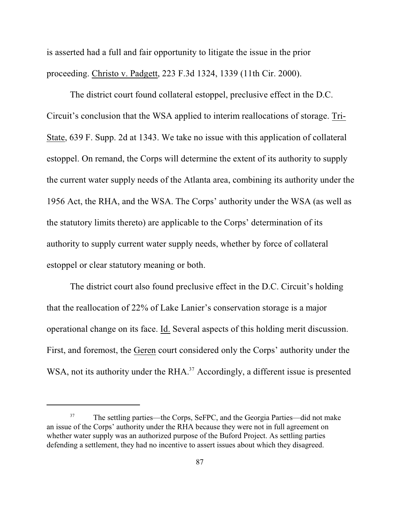is asserted had a full and fair opportunity to litigate the issue in the prior proceeding. Christo v. Padgett, 223 F.3d 1324, 1339 (11th Cir. 2000).

The district court found collateral estoppel, preclusive effect in the D.C. Circuit's conclusion that the WSA applied to interim reallocations of storage. Tri-State, 639 F. Supp. 2d at 1343. We take no issue with this application of collateral estoppel. On remand, the Corps will determine the extent of its authority to supply the current water supply needs of the Atlanta area, combining its authority under the 1956 Act, the RHA, and the WSA. The Corps' authority under the WSA (as well as the statutory limits thereto) are applicable to the Corps' determination of its authority to supply current water supply needs, whether by force of collateral estoppel or clear statutory meaning or both.

The district court also found preclusive effect in the D.C. Circuit's holding that the reallocation of 22% of Lake Lanier's conservation storage is a major operational change on its face. Id. Several aspects of this holding merit discussion. First, and foremost, the Geren court considered only the Corps' authority under the WSA, not its authority under the  $RHA$ <sup>37</sup> Accordingly, a different issue is presented

<sup>&</sup>lt;sup>37</sup> The settling parties—the Corps, SeFPC, and the Georgia Parties—did not make an issue of the Corps' authority under the RHA because they were not in full agreement on whether water supply was an authorized purpose of the Buford Project. As settling parties defending a settlement, they had no incentive to assert issues about which they disagreed.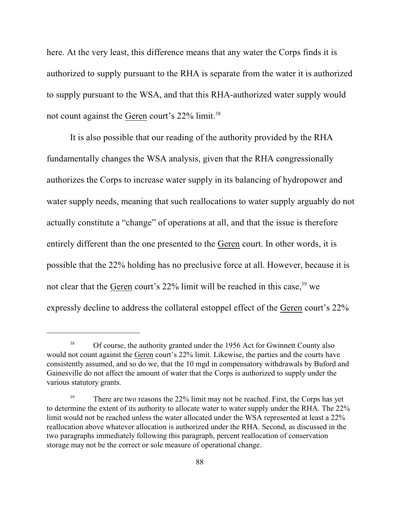here. At the very least, this difference means that any water the Corps finds it is authorized to supply pursuant to the RHA is separate from the water it is authorized to supply pursuant to the WSA, and that this RHA-authorized water supply would not count against the Geren court's 22% limit.<sup>38</sup>

It is also possible that our reading of the authority provided by the RHA fundamentally changes the WSA analysis, given that the RHA congressionally authorizes the Corps to increase water supply in its balancing of hydropower and water supply needs, meaning that such reallocations to water supply arguably do not actually constitute a "change" of operations at all, and that the issue is therefore entirely different than the one presented to the Geren court. In other words, it is possible that the 22% holding has no preclusive force at all. However, because it is not clear that the Geren court's  $22\%$  limit will be reached in this case, <sup>39</sup> we expressly decline to address the collateral estoppel effect of the Geren court's 22%

<sup>&</sup>lt;sup>38</sup> Of course, the authority granted under the 1956 Act for Gwinnett County also would not count against the Geren court's 22% limit. Likewise, the parties and the courts have consistently assumed, and so do we, that the 10 mgd in compensatory withdrawals by Buford and Gainesville do not affect the amount of water that the Corps is authorized to supply under the various statutory grants.

<sup>&</sup>lt;sup>39</sup> There are two reasons the 22% limit may not be reached. First, the Corps has yet to determine the extent of its authority to allocate water to water supply under the RHA. The 22% limit would not be reached unless the water allocated under the WSA represented at least a 22% reallocation above whatever allocation is authorized under the RHA. Second, as discussed in the two paragraphs immediately following this paragraph, percent reallocation of conservation storage may not be the correct or sole measure of operational change.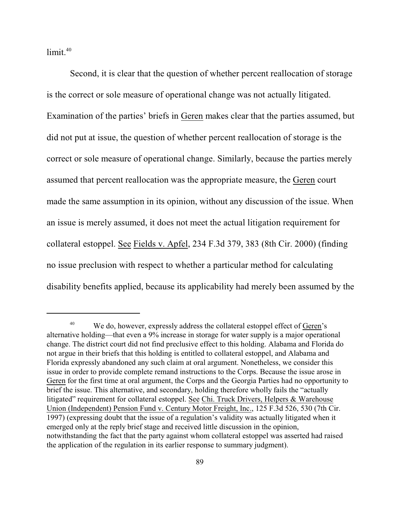limit. 40

Second, it is clear that the question of whether percent reallocation of storage is the correct or sole measure of operational change was not actually litigated. Examination of the parties' briefs in Geren makes clear that the parties assumed, but did not put at issue, the question of whether percent reallocation of storage is the correct or sole measure of operational change. Similarly, because the parties merely assumed that percent reallocation was the appropriate measure, the Geren court made the same assumption in its opinion, without any discussion of the issue. When an issue is merely assumed, it does not meet the actual litigation requirement for collateral estoppel. See Fields v. Apfel, 234 F.3d 379, 383 (8th Cir. 2000) (finding no issue preclusion with respect to whether a particular method for calculating disability benefits applied, because its applicability had merely been assumed by the

We do, however, expressly address the collateral estoppel effect of Geren's 40 alternative holding—that even a 9% increase in storage for water supply is a major operational change. The district court did not find preclusive effect to this holding. Alabama and Florida do not argue in their briefs that this holding is entitled to collateral estoppel, and Alabama and Florida expressly abandoned any such claim at oral argument. Nonetheless, we consider this issue in order to provide complete remand instructions to the Corps. Because the issue arose in Geren for the first time at oral argument, the Corps and the Georgia Parties had no opportunity to brief the issue. This alternative, and secondary, holding therefore wholly fails the "actually litigated" requirement for collateral estoppel. See Chi. Truck Drivers, Helpers & Warehouse Union (Independent) Pension Fund v. Century Motor Freight, Inc., 125 F.3d 526, 530 (7th Cir. 1997) (expressing doubt that the issue of a regulation's validity was actually litigated when it emerged only at the reply brief stage and received little discussion in the opinion, notwithstanding the fact that the party against whom collateral estoppel was asserted had raised the application of the regulation in its earlier response to summary judgment).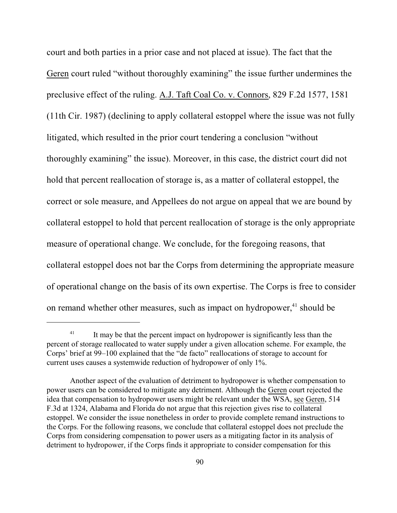court and both parties in a prior case and not placed at issue). The fact that the Geren court ruled "without thoroughly examining" the issue further undermines the preclusive effect of the ruling. A.J. Taft Coal Co. v. Connors, 829 F.2d 1577, 1581 (11th Cir. 1987) (declining to apply collateral estoppel where the issue was not fully litigated, which resulted in the prior court tendering a conclusion "without thoroughly examining" the issue). Moreover, in this case, the district court did not hold that percent reallocation of storage is, as a matter of collateral estoppel, the correct or sole measure, and Appellees do not argue on appeal that we are bound by collateral estoppel to hold that percent reallocation of storage is the only appropriate measure of operational change. We conclude, for the foregoing reasons, that collateral estoppel does not bar the Corps from determining the appropriate measure of operational change on the basis of its own expertise. The Corps is free to consider on remand whether other measures, such as impact on hydropower,<sup>41</sup> should be

 $11$  It may be that the percent impact on hydropower is significantly less than the percent of storage reallocated to water supply under a given allocation scheme. For example, the Corps' brief at 99–100 explained that the "de facto" reallocations of storage to account for current uses causes a systemwide reduction of hydropower of only 1%.

Another aspect of the evaluation of detriment to hydropower is whether compensation to power users can be considered to mitigate any detriment. Although the Geren court rejected the idea that compensation to hydropower users might be relevant under the WSA, see Geren, 514 F.3d at 1324, Alabama and Florida do not argue that this rejection gives rise to collateral estoppel. We consider the issue nonetheless in order to provide complete remand instructions to the Corps. For the following reasons, we conclude that collateral estoppel does not preclude the Corps from considering compensation to power users as a mitigating factor in its analysis of detriment to hydropower, if the Corps finds it appropriate to consider compensation for this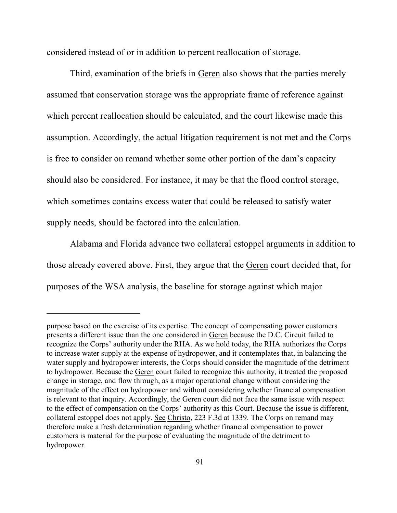considered instead of or in addition to percent reallocation of storage.

Third, examination of the briefs in Geren also shows that the parties merely assumed that conservation storage was the appropriate frame of reference against which percent reallocation should be calculated, and the court likewise made this assumption. Accordingly, the actual litigation requirement is not met and the Corps is free to consider on remand whether some other portion of the dam's capacity should also be considered. For instance, it may be that the flood control storage, which sometimes contains excess water that could be released to satisfy water supply needs, should be factored into the calculation.

Alabama and Florida advance two collateral estoppel arguments in addition to those already covered above. First, they argue that the Geren court decided that, for purposes of the WSA analysis, the baseline for storage against which major

purpose based on the exercise of its expertise. The concept of compensating power customers presents a different issue than the one considered in Geren because the D.C. Circuit failed to recognize the Corps' authority under the RHA. As we hold today, the RHA authorizes the Corps to increase water supply at the expense of hydropower, and it contemplates that, in balancing the water supply and hydropower interests, the Corps should consider the magnitude of the detriment to hydropower. Because the Geren court failed to recognize this authority, it treated the proposed change in storage, and flow through, as a major operational change without considering the magnitude of the effect on hydropower and without considering whether financial compensation is relevant to that inquiry. Accordingly, the Geren court did not face the same issue with respect to the effect of compensation on the Corps' authority as this Court. Because the issue is different, collateral estoppel does not apply. See Christo, 223 F.3d at 1339. The Corps on remand may therefore make a fresh determination regarding whether financial compensation to power customers is material for the purpose of evaluating the magnitude of the detriment to hydropower.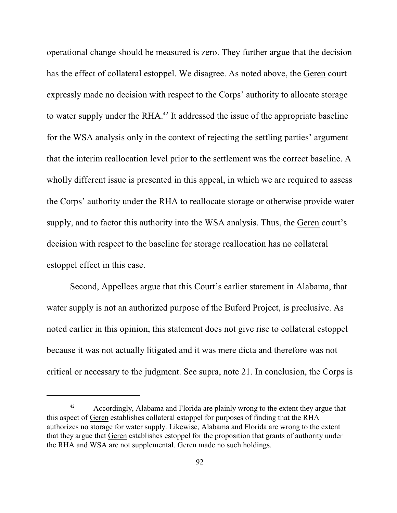operational change should be measured is zero. They further argue that the decision has the effect of collateral estoppel. We disagree. As noted above, the Geren court expressly made no decision with respect to the Corps' authority to allocate storage to water supply under the RHA. $^{42}$  It addressed the issue of the appropriate baseline for the WSA analysis only in the context of rejecting the settling parties' argument that the interim reallocation level prior to the settlement was the correct baseline. A wholly different issue is presented in this appeal, in which we are required to assess the Corps' authority under the RHA to reallocate storage or otherwise provide water supply, and to factor this authority into the WSA analysis. Thus, the Geren court's decision with respect to the baseline for storage reallocation has no collateral estoppel effect in this case.

Second, Appellees argue that this Court's earlier statement in Alabama, that water supply is not an authorized purpose of the Buford Project, is preclusive. As noted earlier in this opinion, this statement does not give rise to collateral estoppel because it was not actually litigated and it was mere dicta and therefore was not critical or necessary to the judgment. See supra, note 21. In conclusion, the Corps is

 $A<sup>42</sup>$  Accordingly, Alabama and Florida are plainly wrong to the extent they argue that this aspect of Geren establishes collateral estoppel for purposes of finding that the RHA authorizes no storage for water supply. Likewise, Alabama and Florida are wrong to the extent that they argue that Geren establishes estoppel for the proposition that grants of authority under the RHA and WSA are not supplemental. Geren made no such holdings.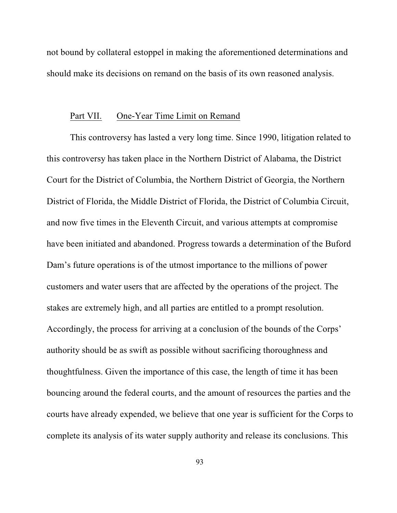not bound by collateral estoppel in making the aforementioned determinations and should make its decisions on remand on the basis of its own reasoned analysis.

#### Part VII. One-Year Time Limit on Remand

This controversy has lasted a very long time. Since 1990, litigation related to this controversy has taken place in the Northern District of Alabama, the District Court for the District of Columbia, the Northern District of Georgia, the Northern District of Florida, the Middle District of Florida, the District of Columbia Circuit, and now five times in the Eleventh Circuit, and various attempts at compromise have been initiated and abandoned. Progress towards a determination of the Buford Dam's future operations is of the utmost importance to the millions of power customers and water users that are affected by the operations of the project. The stakes are extremely high, and all parties are entitled to a prompt resolution. Accordingly, the process for arriving at a conclusion of the bounds of the Corps' authority should be as swift as possible without sacrificing thoroughness and thoughtfulness. Given the importance of this case, the length of time it has been bouncing around the federal courts, and the amount of resources the parties and the courts have already expended, we believe that one year is sufficient for the Corps to complete its analysis of its water supply authority and release its conclusions. This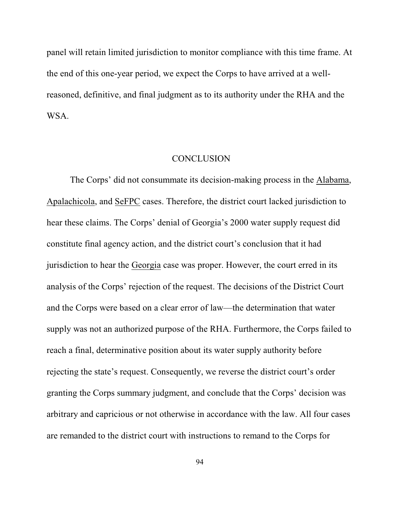panel will retain limited jurisdiction to monitor compliance with this time frame. At the end of this one-year period, we expect the Corps to have arrived at a wellreasoned, definitive, and final judgment as to its authority under the RHA and the WSA.

#### **CONCLUSION**

The Corps' did not consummate its decision-making process in the Alabama, Apalachicola, and SeFPC cases. Therefore, the district court lacked jurisdiction to hear these claims. The Corps' denial of Georgia's 2000 water supply request did constitute final agency action, and the district court's conclusion that it had jurisdiction to hear the Georgia case was proper. However, the court erred in its analysis of the Corps' rejection of the request. The decisions of the District Court and the Corps were based on a clear error of law—the determination that water supply was not an authorized purpose of the RHA. Furthermore, the Corps failed to reach a final, determinative position about its water supply authority before rejecting the state's request. Consequently, we reverse the district court's order granting the Corps summary judgment, and conclude that the Corps' decision was arbitrary and capricious or not otherwise in accordance with the law. All four cases are remanded to the district court with instructions to remand to the Corps for